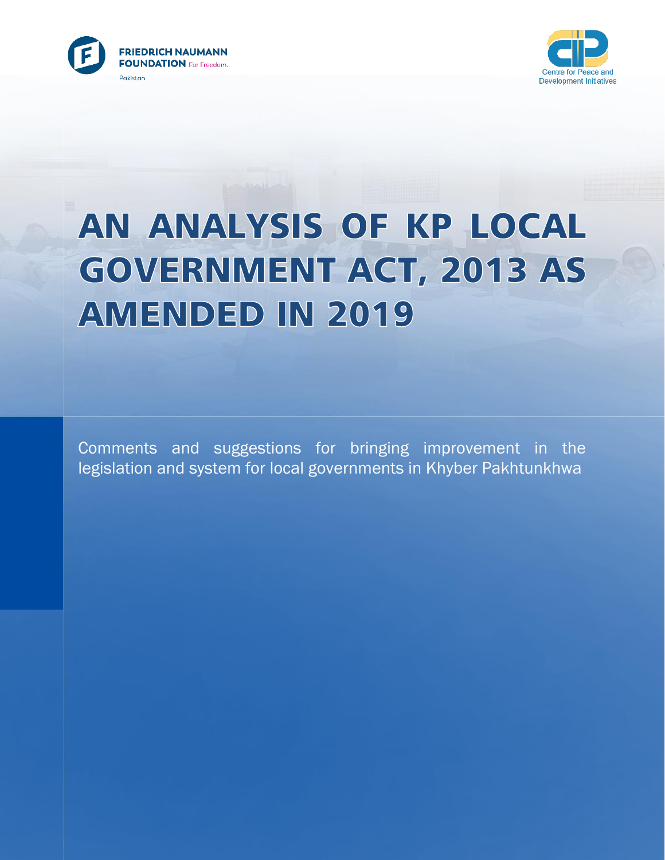



# AN ANALYSIS OF KP LOCAL **GOVERNMENT ACT, 2013 AS AMENDED IN 2019**

Comments and suggestions for bringing improvement in the legislation and system for local governments in Khyber Pakhtunkhwa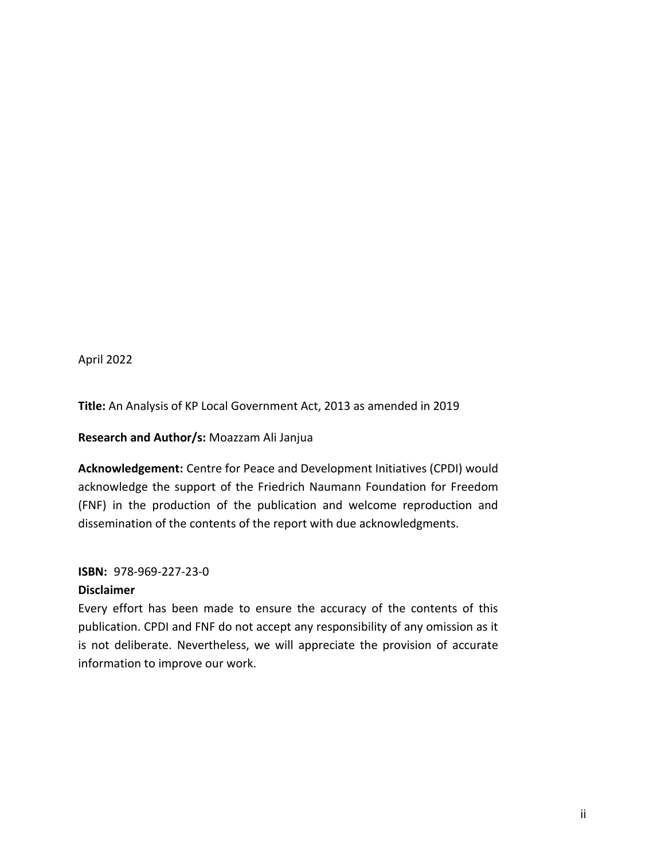April 2022

**Title:** An Analysis of KP Local Government Act, 2013 as amended in 2019

**Research and Author/s:** Moazzam Ali Janjua

**Acknowledgement:** Centre for Peace and Development Initiatives (CPDI) would acknowledge the support of the Friedrich Naumann Foundation for Freedom (FNF) in the production of the publication and welcome reproduction and dissemination of the contents of the report with due acknowledgments.

#### **ISBN:** 978-969-227-23-0

#### **Disclaimer**

Every effort has been made to ensure the accuracy of the contents of this publication. CPDI and FNF do not accept any responsibility of any omission as it is not deliberate. Nevertheless, we will appreciate the provision of accurate information to improve our work.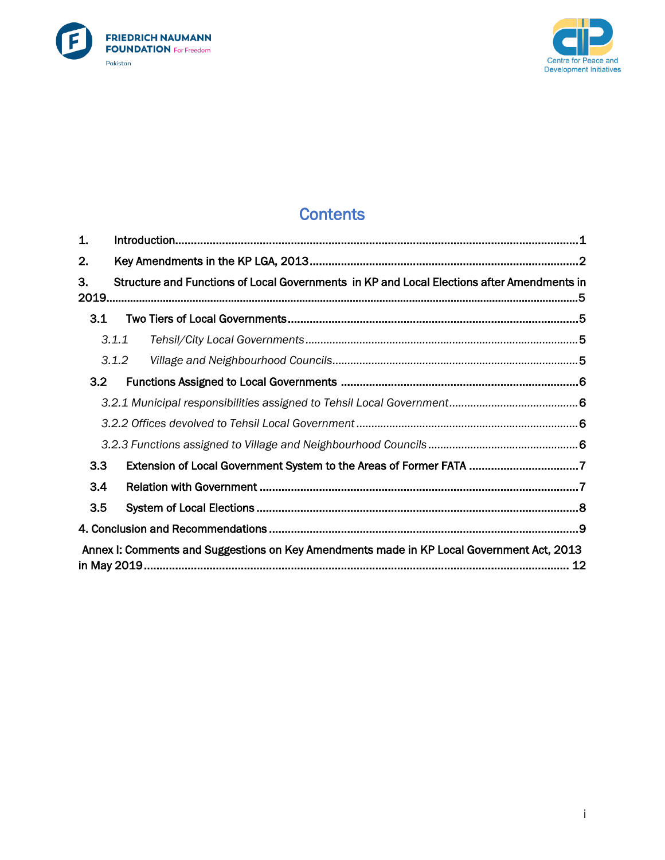



# **Contents**

| 1.  |                                                                                            |  |
|-----|--------------------------------------------------------------------------------------------|--|
| 2.  |                                                                                            |  |
| З.  | Structure and Functions of Local Governments in KP and Local Elections after Amendments in |  |
| 3.1 |                                                                                            |  |
|     | 3.1.1                                                                                      |  |
|     | 3.1.2                                                                                      |  |
| 3.2 |                                                                                            |  |
|     |                                                                                            |  |
|     |                                                                                            |  |
|     |                                                                                            |  |
| 3.3 |                                                                                            |  |
| 3.4 |                                                                                            |  |
| 3.5 |                                                                                            |  |
|     |                                                                                            |  |
|     | Annex I: Comments and Suggestions on Key Amendments made in KP Local Government Act, 2013  |  |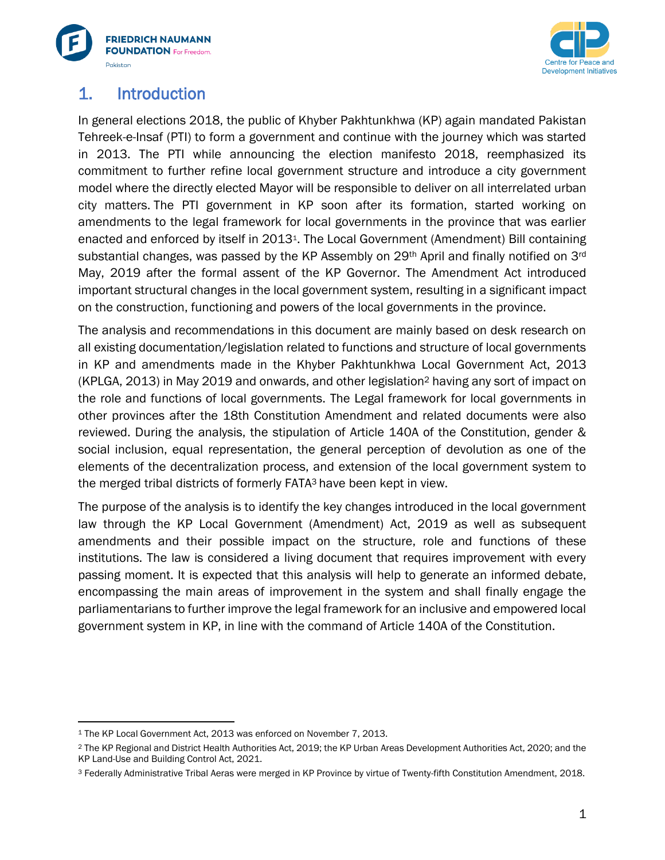



## <span id="page-3-0"></span>1. Introduction

In general elections 2018, the public of Khyber Pakhtunkhwa (KP) again mandated Pakistan Tehreek-e-Insaf (PTI) to form a government and continue with the journey which was started in 2013. The PTI while announcing the election manifesto 2018, reemphasized its commitment to further refine local government structure and introduce a city government model where the directly elected Mayor will be responsible to deliver on all interrelated urban city matters. The PTI government in KP soon after its formation, started working on amendments to the legal framework for local governments in the province that was earlier enacted and enforced by itself in 20131. The Local Government (Amendment) Bill containing substantial changes, was passed by the KP Assembly on 29<sup>th</sup> April and finally notified on 3<sup>rd</sup> May, 2019 after the formal assent of the KP Governor. The Amendment Act introduced important structural changes in the local government system, resulting in a significant impact on the construction, functioning and powers of the local governments in the province.

The analysis and recommendations in this document are mainly based on desk research on all existing documentation/legislation related to functions and structure of local governments in KP and amendments made in the Khyber Pakhtunkhwa Local Government Act, 2013 (KPLGA, 2013) in May 2019 and onwards, and other legislation<sup>2</sup> having any sort of impact on the role and functions of local governments. The Legal framework for local governments in other provinces after the 18th Constitution Amendment and related documents were also reviewed. During the analysis, the stipulation of Article 140A of the Constitution, gender & social inclusion, equal representation, the general perception of devolution as one of the elements of the decentralization process, and extension of the local government system to the merged tribal districts of formerly FATA<sup>3</sup> have been kept in view.

The purpose of the analysis is to identify the key changes introduced in the local government law through the KP Local Government (Amendment) Act, 2019 as well as subsequent amendments and their possible impact on the structure, role and functions of these institutions. The law is considered a living document that requires improvement with every passing moment. It is expected that this analysis will help to generate an informed debate, encompassing the main areas of improvement in the system and shall finally engage the parliamentarians to further improve the legal framework for an inclusive and empowered local government system in KP, in line with the command of Article 140A of the Constitution.

<sup>&</sup>lt;sup>1</sup> The KP Local Government Act, 2013 was enforced on November 7, 2013.

<sup>2</sup> The KP Regional and District Health Authorities Act, 2019; the KP Urban Areas Development Authorities Act, 2020; and the KP Land-Use and Building Control Act, 2021.

<sup>3</sup> Federally Administrative Tribal Aeras were merged in KP Province by virtue of Twenty-fifth Constitution Amendment, 2018.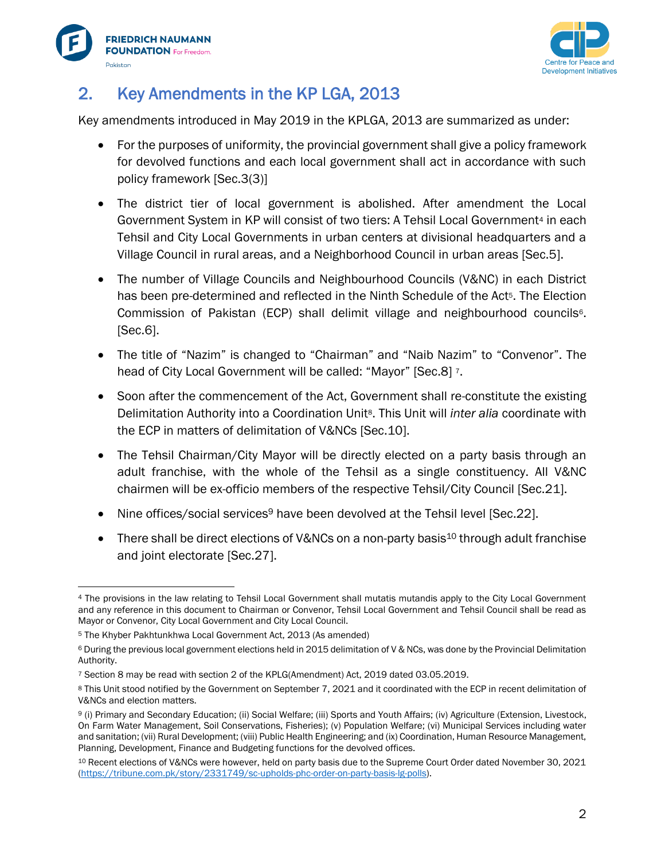



# <span id="page-4-0"></span>2. Key Amendments in the KP LGA, 2013

Key amendments introduced in May 2019 in the KPLGA, 2013 are summarized as under:

- For the purposes of uniformity, the provincial government shall give a policy framework for devolved functions and each local government shall act in accordance with such policy framework [Sec.3(3)]
- The district tier of local government is abolished. After amendment the Local Government System in KP will consist of two tiers: A Tehsil Local Government<sup>4</sup> in each Tehsil and City Local Governments in urban centers at divisional headquarters and a Village Council in rural areas, and a Neighborhood Council in urban areas [Sec.5].
- The number of Village Councils and Neighbourhood Councils (V&NC) in each District has been pre-determined and reflected in the Ninth Schedule of the Act<sup>5</sup>. The Election Commission of Pakistan (ECP) shall delimit village and neighbourhood councils<sup>6</sup>. [Sec.6].
- The title of "Nazim" is changed to "Chairman" and "Naib Nazim" to "Convenor". The head of City Local Government will be called: "Mayor" [Sec.8] 7.
- Soon after the commencement of the Act, Government shall re-constitute the existing Delimitation Authority into a Coordination Unit8. This Unit will *inter alia* coordinate with the ECP in matters of delimitation of V&NCs [Sec.10].
- The Tehsil Chairman/City Mayor will be directly elected on a party basis through an adult franchise, with the whole of the Tehsil as a single constituency. All V&NC chairmen will be ex-officio members of the respective Tehsil/City Council [Sec.21].
- Nine offices/social services<sup>9</sup> have been devolved at the Tehsil level [Sec.22].
- There shall be direct elections of V&NCs on a non-party basis<sup>10</sup> through adult franchise and joint electorate [Sec.27].

<sup>4</sup> The provisions in the law relating to Tehsil Local Government shall mutatis mutandis apply to the City Local Government and any reference in this document to Chairman or Convenor, Tehsil Local Government and Tehsil Council shall be read as Mayor or Convenor, City Local Government and City Local Council.

<sup>5</sup> The Khyber Pakhtunkhwa Local Government Act, 2013 (As amended)

<sup>6</sup> During the previous local government elections held in 2015 delimitation of V & NCs, was done by the Provincial Delimitation Authority.

<sup>7</sup> Section 8 may be read with section 2 of the KPLG(Amendment) Act, 2019 dated 03.05.2019.

<sup>8</sup> This Unit stood notified by the Government on September 7, 2021 and it coordinated with the ECP in recent delimitation of V&NCs and election matters.

<sup>9</sup> (i) Primary and Secondary Education; (ii) Social Welfare; (iii) Sports and Youth Affairs; (iv) Agriculture (Extension, Livestock, On Farm Water Management, Soil Conservations, Fisheries); (v) Population Welfare; (vi) Municipal Services including water and sanitation; (vii) Rural Development; (viii) Public Health Engineering; and (ix) Coordination, Human Resource Management, Planning, Development, Finance and Budgeting functions for the devolved offices.

<sup>10</sup> Recent elections of V&NCs were however, held on party basis due to the Supreme Court Order dated November 30, 2021 [\(https://tribune.com.pk/story/2331749/sc-upholds-phc-order-on-party-basis-lg-polls\)](https://tribune.com.pk/story/2331749/sc-upholds-phc-order-on-party-basis-lg-polls).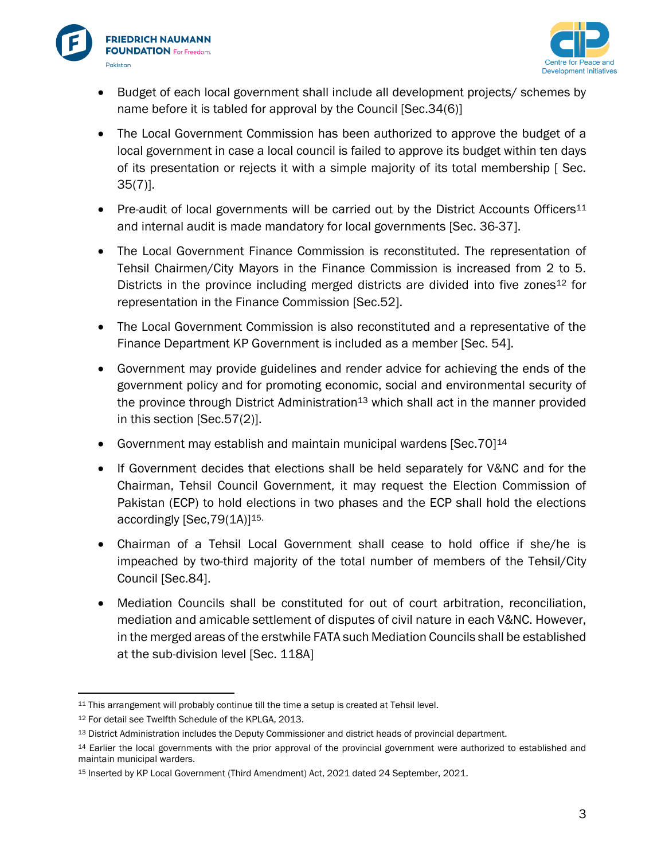



- Budget of each local government shall include all development projects/ schemes by name before it is tabled for approval by the Council [Sec.34(6)]
- The Local Government Commission has been authorized to approve the budget of a local government in case a local council is failed to approve its budget within ten days of its presentation or rejects it with a simple majority of its total membership [ Sec. 35(7)].
- Pre-audit of local governments will be carried out by the District Accounts Officers<sup>11</sup> and internal audit is made mandatory for local governments [Sec. 36-37].
- The Local Government Finance Commission is reconstituted. The representation of Tehsil Chairmen/City Mayors in the Finance Commission is increased from 2 to 5. Districts in the province including merged districts are divided into five zones<sup>12</sup> for representation in the Finance Commission [Sec.52].
- The Local Government Commission is also reconstituted and a representative of the Finance Department KP Government is included as a member [Sec. 54].
- Government may provide guidelines and render advice for achieving the ends of the government policy and for promoting economic, social and environmental security of the province through District Administration<sup>13</sup> which shall act in the manner provided in this section [Sec.57(2)].
- Government may establish and maintain municipal wardens [Sec.70]<sup>14</sup>
- If Government decides that elections shall be held separately for V&NC and for the Chairman, Tehsil Council Government, it may request the Election Commission of Pakistan (ECP) to hold elections in two phases and the ECP shall hold the elections accordingly [Sec, 79(1A)]<sup>15.</sup>
- Chairman of a Tehsil Local Government shall cease to hold office if she/he is impeached by two-third majority of the total number of members of the Tehsil/City Council [Sec.84].
- Mediation Councils shall be constituted for out of court arbitration, reconciliation, mediation and amicable settlement of disputes of civil nature in each V&NC. However, in the merged areas of the erstwhile FATA such Mediation Councils shall be established at the sub-division level [Sec. 118A]

<sup>11</sup> This arrangement will probably continue till the time a setup is created at Tehsil level.

<sup>12</sup> For detail see Twelfth Schedule of the KPLGA, 2013.

<sup>13</sup> District Administration includes the Deputy Commissioner and district heads of provincial department.

<sup>&</sup>lt;sup>14</sup> Earlier the local governments with the prior approval of the provincial government were authorized to established and maintain municipal warders.

<sup>15</sup> Inserted by KP Local Government (Third Amendment) Act, 2021 dated 24 September, 2021.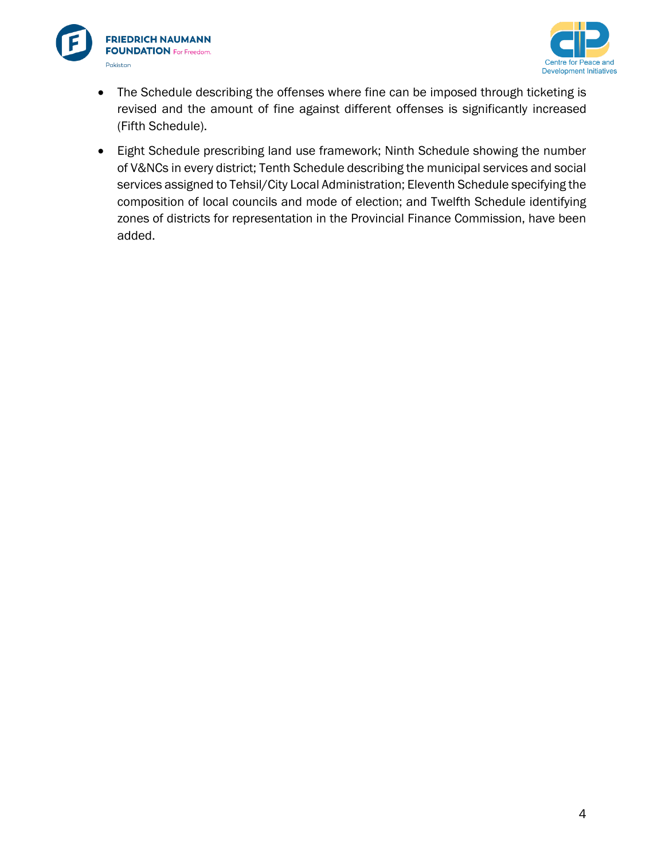



- The Schedule describing the offenses where fine can be imposed through ticketing is revised and the amount of fine against different offenses is significantly increased (Fifth Schedule).
- Eight Schedule prescribing land use framework; Ninth Schedule showing the number of V&NCs in every district; Tenth Schedule describing the municipal services and social services assigned to Tehsil/City Local Administration; Eleventh Schedule specifying the composition of local councils and mode of election; and Twelfth Schedule identifying zones of districts for representation in the Provincial Finance Commission, have been added.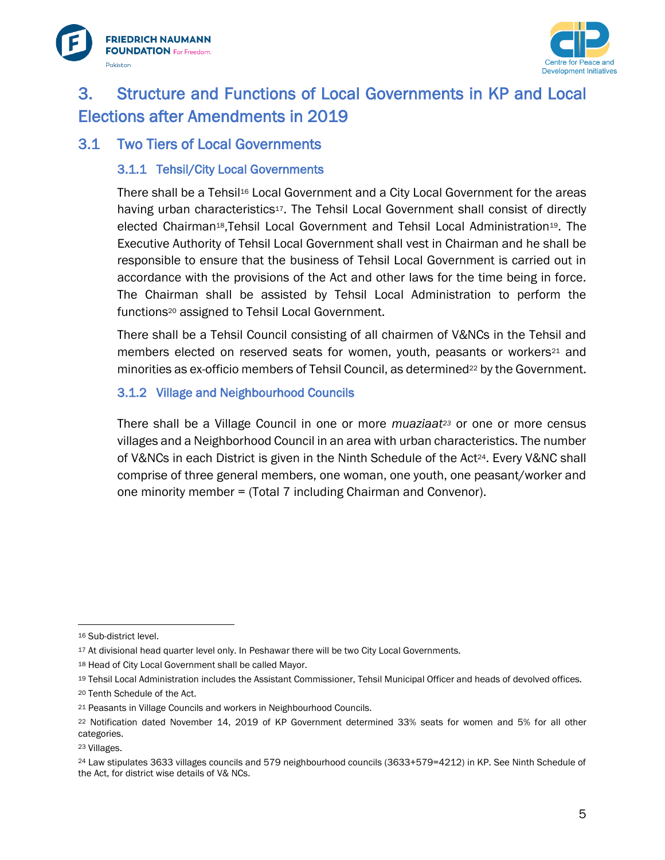



## <span id="page-7-0"></span>3. Structure and Functions of Local Governments in KP and Local Elections after Amendments in 2019

## <span id="page-7-2"></span><span id="page-7-1"></span>3.1 Two Tiers of Local Governments

#### 3.1.1 Tehsil/City Local Governments

There shall be a Tehsil<sup>16</sup> Local Government and a City Local Government for the areas having urban characteristics<sup>17</sup>. The Tehsil Local Government shall consist of directly elected Chairman<sup>18</sup>, Tehsil Local Government and Tehsil Local Administration<sup>19</sup>. The Executive Authority of Tehsil Local Government shall vest in Chairman and he shall be responsible to ensure that the business of Tehsil Local Government is carried out in accordance with the provisions of the Act and other laws for the time being in force. The Chairman shall be assisted by Tehsil Local Administration to perform the functions<sup>20</sup> assigned to Tehsil Local Government.

There shall be a Tehsil Council consisting of all chairmen of V&NCs in the Tehsil and members elected on reserved seats for women, youth, peasants or workers<sup>21</sup> and minorities as ex-officio members of Tehsil Council, as determined<sup>22</sup> by the Government.

#### <span id="page-7-3"></span>3.1.2 Village and Neighbourhood Councils

There shall be a Village Council in one or more *muaziaat<sup>23</sup>* or one or more census villages and a Neighborhood Council in an area with urban characteristics. The number of V&NCs in each District is given in the Ninth Schedule of the Act24. Every V&NC shall comprise of three general members, one woman, one youth, one peasant/worker and one minority member = (Total 7 including Chairman and Convenor).

<sup>16</sup> Sub-district level.

<sup>17</sup> At divisional head quarter level only. In Peshawar there will be two City Local Governments.

<sup>18</sup> Head of City Local Government shall be called Mayor.

<sup>19</sup> Tehsil Local Administration includes the Assistant Commissioner, Tehsil Municipal Officer and heads of devolved offices.

<sup>20</sup> Tenth Schedule of the Act.

<sup>21</sup> Peasants in Village Councils and workers in Neighbourhood Councils.

<sup>22</sup> Notification dated November 14, 2019 of KP Government determined 33% seats for women and 5% for all other categories.

<sup>23</sup> Villages.

<sup>24</sup> Law stipulates 3633 villages councils and 579 neighbourhood councils (3633+579=4212) in KP. See Ninth Schedule of the Act, for district wise details of V& NCs.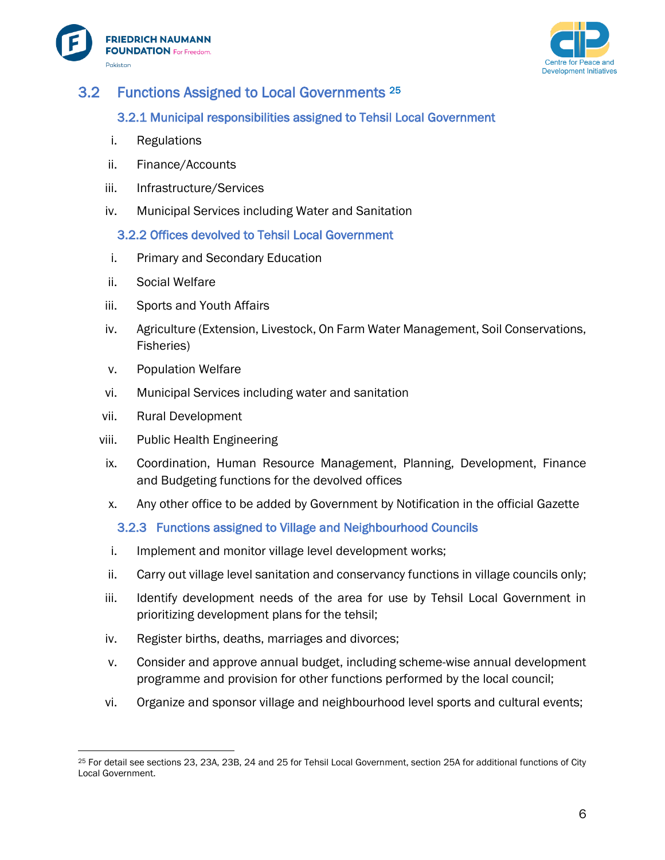



## <span id="page-8-1"></span><span id="page-8-0"></span>3.2 Functions Assigned to Local Governments <sup>25</sup>

#### 3.2.1 Municipal responsibilities assigned to Tehsil Local Government

- i. Regulations
- ii. Finance/Accounts
- iii. Infrastructure/Services
- <span id="page-8-2"></span>iv. Municipal Services including Water and Sanitation

3.2.2 Offices devolved to Tehsil Local Government

- i. Primary and Secondary Education
- ii. Social Welfare
- iii. Sports and Youth Affairs
- iv. Agriculture (Extension, Livestock, On Farm Water Management, Soil Conservations, Fisheries)
- v. Population Welfare
- vi. Municipal Services including water and sanitation
- vii. Rural Development
- viii. Public Health Engineering
- ix. Coordination, Human Resource Management, Planning, Development, Finance and Budgeting functions for the devolved offices
- <span id="page-8-3"></span>x. Any other office to be added by Government by Notification in the official Gazette
	- 3.2.3 Functions assigned to Village and Neighbourhood Councils
- i. Implement and monitor village level development works;
- ii. Carry out village level sanitation and conservancy functions in village councils only;
- iii. Identify development needs of the area for use by Tehsil Local Government in prioritizing development plans for the tehsil;
- iv. Register births, deaths, marriages and divorces;
- v. Consider and approve annual budget, including scheme-wise annual development programme and provision for other functions performed by the local council;
- vi. Organize and sponsor village and neighbourhood level sports and cultural events;

<sup>25</sup> For detail see sections 23, 23A, 23B, 24 and 25 for Tehsil Local Government, section 25A for additional functions of City Local Government.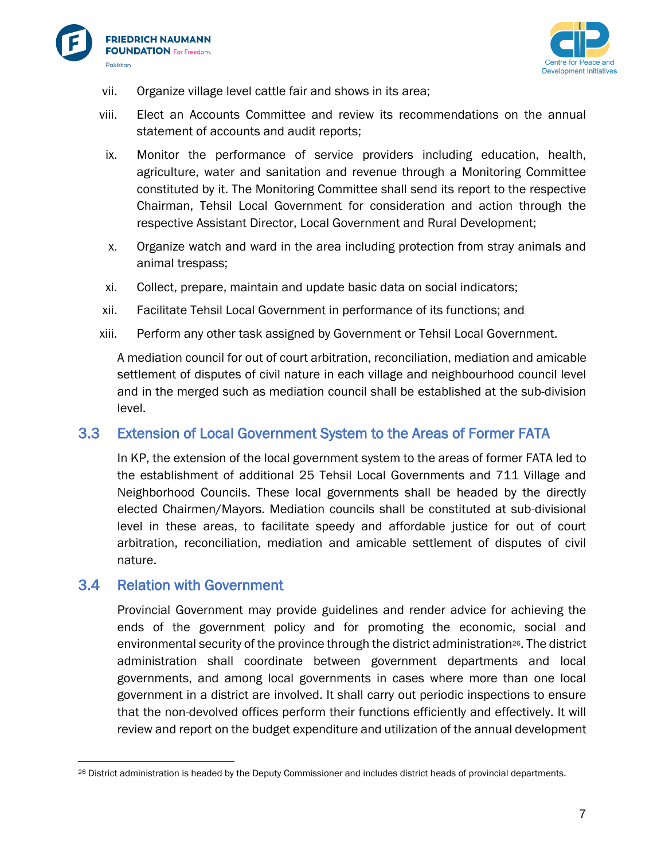



- vii. Organize village level cattle fair and shows in its area;
- viii. Elect an Accounts Committee and review its recommendations on the annual statement of accounts and audit reports;
- ix. Monitor the performance of service providers including education, health, agriculture, water and sanitation and revenue through a Monitoring Committee constituted by it. The Monitoring Committee shall send its report to the respective Chairman, Tehsil Local Government for consideration and action through the respective Assistant Director, Local Government and Rural Development;
- x. Organize watch and ward in the area including protection from stray animals and animal trespass;
- xi. Collect, prepare, maintain and update basic data on social indicators;
- xii. Facilitate Tehsil Local Government in performance of its functions; and
- xiii. Perform any other task assigned by Government or Tehsil Local Government.

A mediation council for out of court arbitration, reconciliation, mediation and amicable settlement of disputes of civil nature in each village and neighbourhood council level and in the merged such as mediation council shall be established at the sub-division level.

#### <span id="page-9-0"></span>3.3 Extension of Local Government System to the Areas of Former FATA

In KP, the extension of the local government system to the areas of former FATA led to the establishment of additional 25 Tehsil Local Governments and 711 Village and Neighborhood Councils. These local governments shall be headed by the directly elected Chairmen/Mayors. Mediation councils shall be constituted at sub-divisional level in these areas, to facilitate speedy and affordable justice for out of court arbitration, reconciliation, mediation and amicable settlement of disputes of civil nature.

#### <span id="page-9-1"></span>3.4 Relation with Government

Provincial Government may provide guidelines and render advice for achieving the ends of the government policy and for promoting the economic, social and environmental security of the province through the district administration<sup>26</sup>. The district administration shall coordinate between government departments and local governments, and among local governments in cases where more than one local government in a district are involved. It shall carry out periodic inspections to ensure that the non-devolved offices perform their functions efficiently and effectively. It will review and report on the budget expenditure and utilization of the annual development

<sup>26</sup> District administration is headed by the Deputy Commissioner and includes district heads of provincial departments.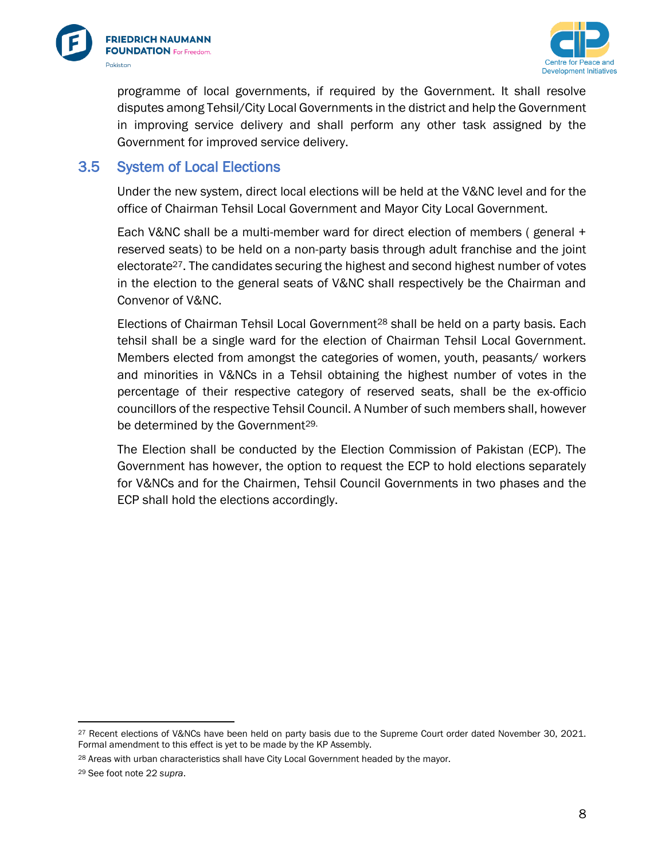



programme of local governments, if required by the Government. It shall resolve disputes among Tehsil/City Local Governments in the district and help the Government in improving service delivery and shall perform any other task assigned by the Government for improved service delivery.

### <span id="page-10-0"></span>3.5 System of Local Elections

Under the new system, direct local elections will be held at the V&NC level and for the office of Chairman Tehsil Local Government and Mayor City Local Government.

Each V&NC shall be a multi-member ward for direct election of members ( general + reserved seats) to be held on a non-party basis through adult franchise and the joint electorate $27$ . The candidates securing the highest and second highest number of votes in the election to the general seats of V&NC shall respectively be the Chairman and Convenor of V&NC.

Elections of Chairman Tehsil Local Government<sup>28</sup> shall be held on a party basis. Each tehsil shall be a single ward for the election of Chairman Tehsil Local Government. Members elected from amongst the categories of women, youth, peasants/ workers and minorities in V&NCs in a Tehsil obtaining the highest number of votes in the percentage of their respective category of reserved seats, shall be the ex-officio councillors of the respective Tehsil Council. A Number of such members shall, however be determined by the Government<sup>29.</sup>

The Election shall be conducted by the Election Commission of Pakistan (ECP). The Government has however, the option to request the ECP to hold elections separately for V&NCs and for the Chairmen, Tehsil Council Governments in two phases and the ECP shall hold the elections accordingly.

<sup>&</sup>lt;sup>27</sup> Recent elections of V&NCs have been held on party basis due to the Supreme Court order dated November 30, 2021. Formal amendment to this effect is yet to be made by the KP Assembly.

<sup>&</sup>lt;sup>28</sup> Areas with urban characteristics shall have City Local Government headed by the mayor.

<sup>29</sup> See foot note 22 *supra*.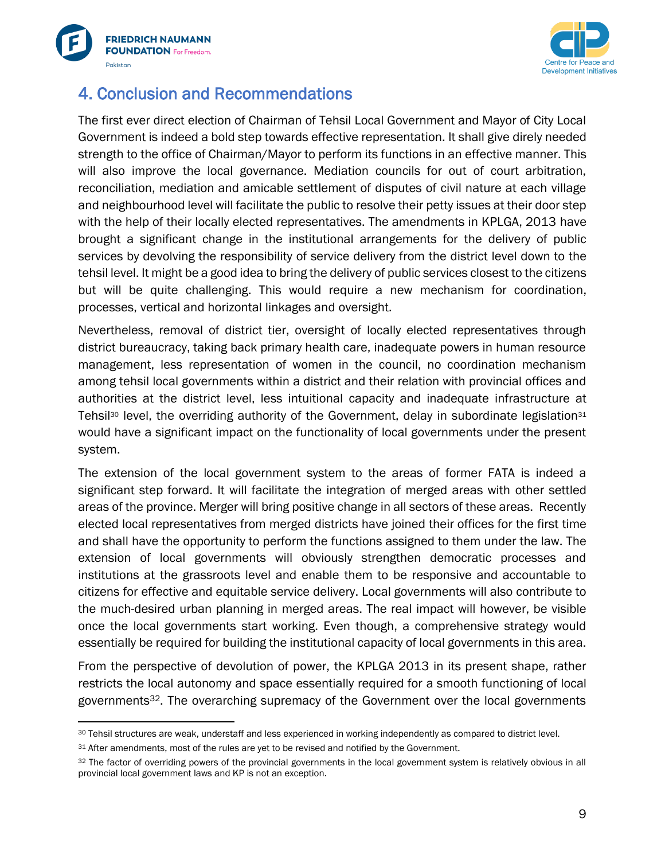



## <span id="page-11-0"></span>4. Conclusion and Recommendations

The first ever direct election of Chairman of Tehsil Local Government and Mayor of City Local Government is indeed a bold step towards effective representation. It shall give direly needed strength to the office of Chairman/Mayor to perform its functions in an effective manner. This will also improve the local governance. Mediation councils for out of court arbitration, reconciliation, mediation and amicable settlement of disputes of civil nature at each village and neighbourhood level will facilitate the public to resolve their petty issues at their door step with the help of their locally elected representatives. The amendments in KPLGA, 2013 have brought a significant change in the institutional arrangements for the delivery of public services by devolving the responsibility of service delivery from the district level down to the tehsil level. It might be a good idea to bring the delivery of public services closest to the citizens but will be quite challenging. This would require a new mechanism for coordination, processes, vertical and horizontal linkages and oversight.

Nevertheless, removal of district tier, oversight of locally elected representatives through district bureaucracy, taking back primary health care, inadequate powers in human resource management, less representation of women in the council, no coordination mechanism among tehsil local governments within a district and their relation with provincial offices and authorities at the district level, less intuitional capacity and inadequate infrastructure at Tehsil<sup>30</sup> level, the overriding authority of the Government, delay in subordinate legislation<sup>31</sup> would have a significant impact on the functionality of local governments under the present system.

The extension of the local government system to the areas of former FATA is indeed a significant step forward. It will facilitate the integration of merged areas with other settled areas of the province. Merger will bring positive change in all sectors of these areas. Recently elected local representatives from merged districts have joined their offices for the first time and shall have the opportunity to perform the functions assigned to them under the law. The extension of local governments will obviously strengthen democratic processes and institutions at the grassroots level and enable them to be responsive and accountable to citizens for effective and equitable service delivery. Local governments will also contribute to the much-desired urban planning in merged areas. The real impact will however, be visible once the local governments start working. Even though, a comprehensive strategy would essentially be required for building the institutional capacity of local governments in this area.

From the perspective of devolution of power, the KPLGA 2013 in its present shape, rather restricts the local autonomy and space essentially required for a smooth functioning of local governments32. The overarching supremacy of the Government over the local governments

<sup>30</sup> Tehsil structures are weak, understaff and less experienced in working independently as compared to district level.

<sup>&</sup>lt;sup>31</sup> After amendments, most of the rules are yet to be revised and notified by the Government.

<sup>32</sup> The factor of overriding powers of the provincial governments in the local government system is relatively obvious in all provincial local government laws and KP is not an exception.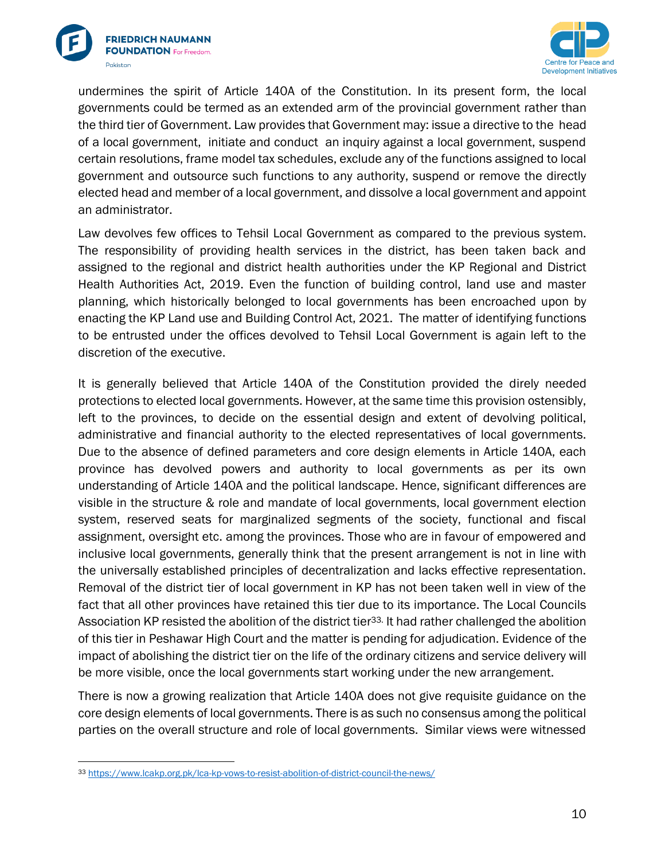



undermines the spirit of Article 140A of the Constitution. In its present form, the local governments could be termed as an extended arm of the provincial government rather than the third tier of Government. Law provides that Government may: issue a directive to the head of a local government, initiate and conduct an inquiry against a local government, suspend certain resolutions, frame model tax schedules, exclude any of the functions assigned to local government and outsource such functions to any authority, suspend or remove the directly elected head and member of a local government, and dissolve a local government and appoint an administrator.

Law devolves few offices to Tehsil Local Government as compared to the previous system. The responsibility of providing health services in the district, has been taken back and assigned to the regional and district health authorities under the KP Regional and District Health Authorities Act, 2019. Even the function of building control, land use and master planning, which historically belonged to local governments has been encroached upon by enacting the KP Land use and Building Control Act, 2021. The matter of identifying functions to be entrusted under the offices devolved to Tehsil Local Government is again left to the discretion of the executive.

It is generally believed that Article 140A of the Constitution provided the direly needed protections to elected local governments. However, at the same time this provision ostensibly, left to the provinces, to decide on the essential design and extent of devolving political, administrative and financial authority to the elected representatives of local governments. Due to the absence of defined parameters and core design elements in Article 140A, each province has devolved powers and authority to local governments as per its own understanding of Article 140A and the political landscape. Hence, significant differences are visible in the structure & role and mandate of local governments, local government election system, reserved seats for marginalized segments of the society, functional and fiscal assignment, oversight etc. among the provinces. Those who are in favour of empowered and inclusive local governments, generally think that the present arrangement is not in line with the universally established principles of decentralization and lacks effective representation. Removal of the district tier of local government in KP has not been taken well in view of the fact that all other provinces have retained this tier due to its importance. The Local Councils Association KP resisted the abolition of the district tier<sup>33.</sup> It had rather challenged the abolition of this tier in Peshawar High Court and the matter is pending for adjudication. Evidence of the impact of abolishing the district tier on the life of the ordinary citizens and service delivery will be more visible, once the local governments start working under the new arrangement.

There is now a growing realization that Article 140A does not give requisite guidance on the core design elements of local governments. There is as such no consensus among the political parties on the overall structure and role of local governments. Similar views were witnessed

<sup>33</sup> <https://www.lcakp.org.pk/lca-kp-vows-to-resist-abolition-of-district-council-the-news/>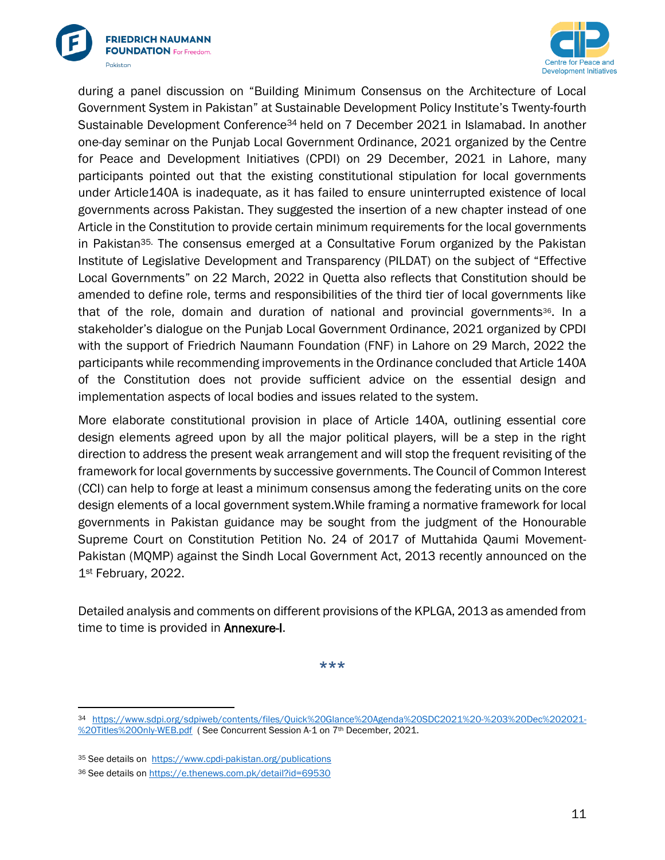



during a panel discussion on "Building Minimum Consensus on the Architecture of Local Government System in Pakistan" at Sustainable Development Policy Institute's Twenty-fourth Sustainable Development Conference<sup>34</sup> held on 7 December 2021 in Islamabad. In another one-day seminar on the Punjab Local Government Ordinance, 2021 organized by the Centre for Peace and Development Initiatives (CPDI) on 29 December, 2021 in Lahore, many participants pointed out that the existing constitutional stipulation for local governments under Article140A is inadequate, as it has failed to ensure uninterrupted existence of local governments across Pakistan. They suggested the insertion of a new chapter instead of one Article in the Constitution to provide certain minimum requirements for the local governments in Pakistan<sup>35.</sup> The consensus emerged at a Consultative Forum organized by the Pakistan Institute of Legislative Development and Transparency (PILDAT) on the subject of "Effective Local Governments" on 22 March, 2022 in Quetta also reflects that Constitution should be amended to define role, terms and responsibilities of the third tier of local governments like that of the role, domain and duration of national and provincial governments36. In a stakeholder's dialogue on the Punjab Local Government Ordinance, 2021 organized by CPDI with the support of Friedrich Naumann Foundation (FNF) in Lahore on 29 March, 2022 the participants while recommending improvements in the Ordinance concluded that Article 140A of the Constitution does not provide sufficient advice on the essential design and implementation aspects of local bodies and issues related to the system.

More elaborate constitutional provision in place of Article 140A, outlining essential core design elements agreed upon by all the major political players, will be a step in the right direction to address the present weak arrangement and will stop the frequent revisiting of the framework for local governments by successive governments. The Council of Common Interest (CCI) can help to forge at least a minimum consensus among the federating units on the core design elements of a local government system.While framing a normative framework for local governments in Pakistan guidance may be sought from the judgment of the Honourable Supreme Court on Constitution Petition No. 24 of 2017 of Muttahida Qaumi Movement-Pakistan (MQMP) against the Sindh Local Government Act, 2013 recently announced on the 1st February, 2022.

Detailed analysis and comments on different provisions of the KPLGA, 2013 as amended from time to time is provided in **Annexure-I**.

\*\*\*

<sup>34</sup> [https://www.sdpi.org/sdpiweb/contents/files/Quick%20Glance%20Agenda%20SDC2021%20-%203%20Dec%202021-](https://www.sdpi.org/sdpiweb/contents/files/Quick%20Glance%20Agenda%20SDC2021%20-%203%20Dec%202021-%20Titles%20Only-WEB.pdf) [%20Titles%20Only-WEB.pdf](https://www.sdpi.org/sdpiweb/contents/files/Quick%20Glance%20Agenda%20SDC2021%20-%203%20Dec%202021-%20Titles%20Only-WEB.pdf) ( See Concurrent Session A-1 on 7th December, 2021.

<sup>35</sup> See details on<https://www.cpdi-pakistan.org/publications>

<sup>36</sup> See details o[n https://e.thenews.com.pk/detail?id=69530](https://e.thenews.com.pk/detail?id=69530)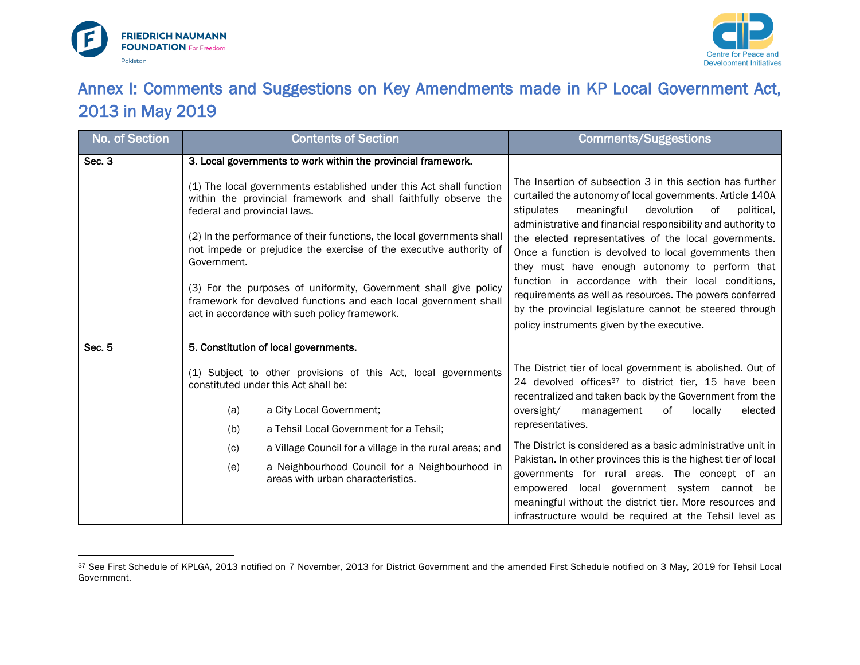



# Annex I: Comments and Suggestions on Key Amendments made in KP Local Government Act, 2013 in May 2019

<span id="page-14-0"></span>

| No. of Section | <b>Contents of Section</b>                                                                                                                                                                                                                                                                                                                           |                                                                                                                                         | <b>Comments/Suggestions</b>                                                                                                                                                                                                                                                            |
|----------------|------------------------------------------------------------------------------------------------------------------------------------------------------------------------------------------------------------------------------------------------------------------------------------------------------------------------------------------------------|-----------------------------------------------------------------------------------------------------------------------------------------|----------------------------------------------------------------------------------------------------------------------------------------------------------------------------------------------------------------------------------------------------------------------------------------|
| Sec. 3         | 3. Local governments to work within the provincial framework.                                                                                                                                                                                                                                                                                        |                                                                                                                                         |                                                                                                                                                                                                                                                                                        |
|                | federal and provincial laws.                                                                                                                                                                                                                                                                                                                         | (1) The local governments established under this Act shall function<br>within the provincial framework and shall faithfully observe the | The Insertion of subsection 3 in this section has further<br>curtailed the autonomy of local governments. Article 140A<br>stipulates<br>meaningful<br>devolution<br>political,<br>of<br>administrative and financial responsibility and authority to                                   |
|                | (2) In the performance of their functions, the local governments shall<br>not impede or prejudice the exercise of the executive authority of<br>Government.<br>(3) For the purposes of uniformity, Government shall give policy<br>framework for devolved functions and each local government shall<br>act in accordance with such policy framework. |                                                                                                                                         | the elected representatives of the local governments.<br>Once a function is devolved to local governments then<br>they must have enough autonomy to perform that                                                                                                                       |
|                |                                                                                                                                                                                                                                                                                                                                                      |                                                                                                                                         | function in accordance with their local conditions,<br>requirements as well as resources. The powers conferred<br>by the provincial legislature cannot be steered through<br>policy instruments given by the executive.                                                                |
| Sec. 5         | 5. Constitution of local governments.                                                                                                                                                                                                                                                                                                                |                                                                                                                                         |                                                                                                                                                                                                                                                                                        |
|                |                                                                                                                                                                                                                                                                                                                                                      | (1) Subject to other provisions of this Act, local governments<br>constituted under this Act shall be:                                  | The District tier of local government is abolished. Out of<br>24 devolved offices <sup>37</sup> to district tier, 15 have been<br>recentralized and taken back by the Government from the                                                                                              |
|                | (a)                                                                                                                                                                                                                                                                                                                                                  | a City Local Government;                                                                                                                | elected<br>oversight/<br>management<br>of<br>locally                                                                                                                                                                                                                                   |
|                | (b)                                                                                                                                                                                                                                                                                                                                                  | a Tehsil Local Government for a Tehsil;                                                                                                 | representatives.                                                                                                                                                                                                                                                                       |
|                | (c)                                                                                                                                                                                                                                                                                                                                                  | a Village Council for a village in the rural areas; and                                                                                 | The District is considered as a basic administrative unit in                                                                                                                                                                                                                           |
|                | (e)                                                                                                                                                                                                                                                                                                                                                  | a Neighbourhood Council for a Neighbourhood in<br>areas with urban characteristics.                                                     | Pakistan. In other provinces this is the highest tier of local<br>governments for rural areas. The concept of an<br>empowered local government system cannot be<br>meaningful without the district tier. More resources and<br>infrastructure would be required at the Tehsil level as |

<sup>37</sup> See First Schedule of KPLGA, 2013 notified on 7 November, 2013 for District Government and the amended First Schedule notified on 3 May, 2019 for Tehsil Local Government.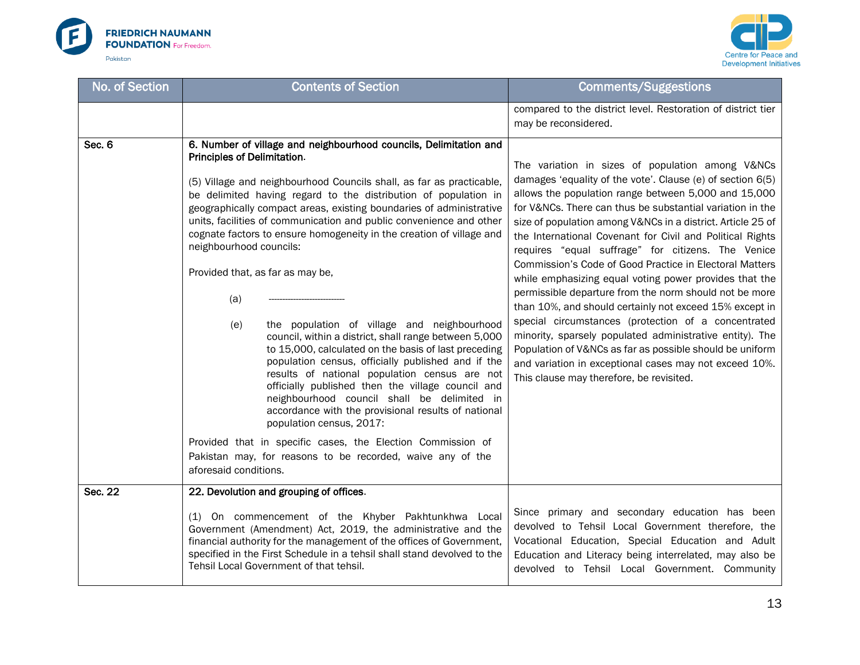



| No. of Section | <b>Contents of Section</b>                                                                                                                                                                                                                                                                                                                                                                                                                                                                                                                                                                                                                                                                                                                                                                                                                                                                                                                                                                                                                                                                                                                                         | <b>Comments/Suggestions</b>                                                                                                                                                                                                                                                                                                                                                                                                                                                                                                                                                                                                                                                                                                                                                                                                                                                                                                                          |
|----------------|--------------------------------------------------------------------------------------------------------------------------------------------------------------------------------------------------------------------------------------------------------------------------------------------------------------------------------------------------------------------------------------------------------------------------------------------------------------------------------------------------------------------------------------------------------------------------------------------------------------------------------------------------------------------------------------------------------------------------------------------------------------------------------------------------------------------------------------------------------------------------------------------------------------------------------------------------------------------------------------------------------------------------------------------------------------------------------------------------------------------------------------------------------------------|------------------------------------------------------------------------------------------------------------------------------------------------------------------------------------------------------------------------------------------------------------------------------------------------------------------------------------------------------------------------------------------------------------------------------------------------------------------------------------------------------------------------------------------------------------------------------------------------------------------------------------------------------------------------------------------------------------------------------------------------------------------------------------------------------------------------------------------------------------------------------------------------------------------------------------------------------|
|                |                                                                                                                                                                                                                                                                                                                                                                                                                                                                                                                                                                                                                                                                                                                                                                                                                                                                                                                                                                                                                                                                                                                                                                    | compared to the district level. Restoration of district tier<br>may be reconsidered.                                                                                                                                                                                                                                                                                                                                                                                                                                                                                                                                                                                                                                                                                                                                                                                                                                                                 |
| Sec. 6         | 6. Number of village and neighbourhood councils, Delimitation and<br>Principles of Delimitation.<br>(5) Village and neighbourhood Councils shall, as far as practicable,<br>be delimited having regard to the distribution of population in<br>geographically compact areas, existing boundaries of administrative<br>units, facilities of communication and public convenience and other<br>cognate factors to ensure homogeneity in the creation of village and<br>neighbourhood councils:<br>Provided that, as far as may be,<br>(a)<br>the population of village and neighbourhood<br>(e)<br>council, within a district, shall range between 5,000<br>to 15,000, calculated on the basis of last preceding<br>population census, officially published and if the<br>results of national population census are not<br>officially published then the village council and<br>neighbourhood council shall be delimited in<br>accordance with the provisional results of national<br>population census, 2017:<br>Provided that in specific cases, the Election Commission of<br>Pakistan may, for reasons to be recorded, waive any of the<br>aforesaid conditions. | The variation in sizes of population among V&NCs<br>damages 'equality of the vote'. Clause (e) of section 6(5)<br>allows the population range between 5,000 and 15,000<br>for V&NCs. There can thus be substantial variation in the<br>size of population among V&NCs in a district. Article 25 of<br>the International Covenant for Civil and Political Rights<br>requires "equal suffrage" for citizens. The Venice<br>Commission's Code of Good Practice in Electoral Matters<br>while emphasizing equal voting power provides that the<br>permissible departure from the norm should not be more<br>than 10%, and should certainly not exceed 15% except in<br>special circumstances (protection of a concentrated<br>minority, sparsely populated administrative entity). The<br>Population of V&NCs as far as possible should be uniform<br>and variation in exceptional cases may not exceed 10%.<br>This clause may therefore, be revisited. |
| Sec. 22        | 22. Devolution and grouping of offices.<br>(1) On commencement of the Khyber Pakhtunkhwa Local<br>Government (Amendment) Act, 2019, the administrative and the<br>financial authority for the management of the offices of Government,<br>specified in the First Schedule in a tehsil shall stand devolved to the                                                                                                                                                                                                                                                                                                                                                                                                                                                                                                                                                                                                                                                                                                                                                                                                                                                  | Since primary and secondary education has been<br>devolved to Tehsil Local Government therefore, the<br>Vocational Education, Special Education and Adult<br>Education and Literacy being interrelated, may also be                                                                                                                                                                                                                                                                                                                                                                                                                                                                                                                                                                                                                                                                                                                                  |
|                | Tehsil Local Government of that tehsil.                                                                                                                                                                                                                                                                                                                                                                                                                                                                                                                                                                                                                                                                                                                                                                                                                                                                                                                                                                                                                                                                                                                            | devolved to Tehsil Local Government. Community                                                                                                                                                                                                                                                                                                                                                                                                                                                                                                                                                                                                                                                                                                                                                                                                                                                                                                       |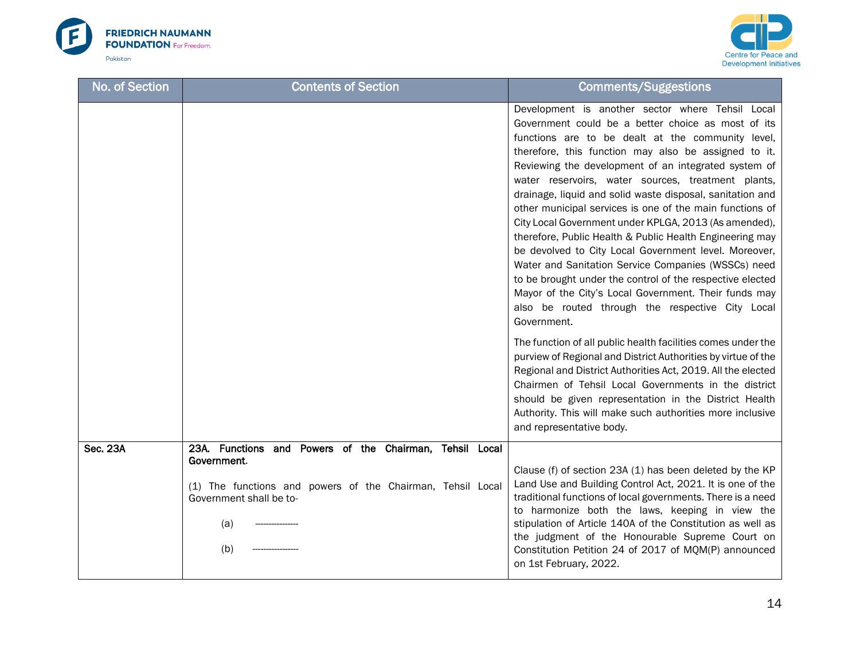



| No. of Section  | <b>Contents of Section</b>                                                                                                                                                    | <b>Comments/Suggestions</b>                                                                                                                                                                                                                                                                                                                                                                                                                                                                                                                                                                                                                                                                                                                                                                                                                                                                                                                                                                                                                                                                                                                                                                                                                                                                         |
|-----------------|-------------------------------------------------------------------------------------------------------------------------------------------------------------------------------|-----------------------------------------------------------------------------------------------------------------------------------------------------------------------------------------------------------------------------------------------------------------------------------------------------------------------------------------------------------------------------------------------------------------------------------------------------------------------------------------------------------------------------------------------------------------------------------------------------------------------------------------------------------------------------------------------------------------------------------------------------------------------------------------------------------------------------------------------------------------------------------------------------------------------------------------------------------------------------------------------------------------------------------------------------------------------------------------------------------------------------------------------------------------------------------------------------------------------------------------------------------------------------------------------------|
|                 |                                                                                                                                                                               | Development is another sector where Tehsil Local<br>Government could be a better choice as most of its<br>functions are to be dealt at the community level,<br>therefore, this function may also be assigned to it.<br>Reviewing the development of an integrated system of<br>water reservoirs, water sources, treatment plants,<br>drainage, liquid and solid waste disposal, sanitation and<br>other municipal services is one of the main functions of<br>City Local Government under KPLGA, 2013 (As amended),<br>therefore, Public Health & Public Health Engineering may<br>be devolved to City Local Government level. Moreover,<br>Water and Sanitation Service Companies (WSSCs) need<br>to be brought under the control of the respective elected<br>Mayor of the City's Local Government. Their funds may<br>also be routed through the respective City Local<br>Government.<br>The function of all public health facilities comes under the<br>purview of Regional and District Authorities by virtue of the<br>Regional and District Authorities Act, 2019. All the elected<br>Chairmen of Tehsil Local Governments in the district<br>should be given representation in the District Health<br>Authority. This will make such authorities more inclusive<br>and representative body. |
| <b>Sec. 23A</b> | 23A. Functions and Powers of the Chairman, Tehsil Local<br>Government.<br>(1) The functions and powers of the Chairman, Tehsil Local<br>Government shall be to-<br>(a)<br>(b) | Clause (f) of section 23A (1) has been deleted by the KP<br>Land Use and Building Control Act, 2021. It is one of the<br>traditional functions of local governments. There is a need<br>to harmonize both the laws, keeping in view the<br>stipulation of Article 140A of the Constitution as well as<br>the judgment of the Honourable Supreme Court on<br>Constitution Petition 24 of 2017 of MQM(P) announced<br>on 1st February, 2022.                                                                                                                                                                                                                                                                                                                                                                                                                                                                                                                                                                                                                                                                                                                                                                                                                                                          |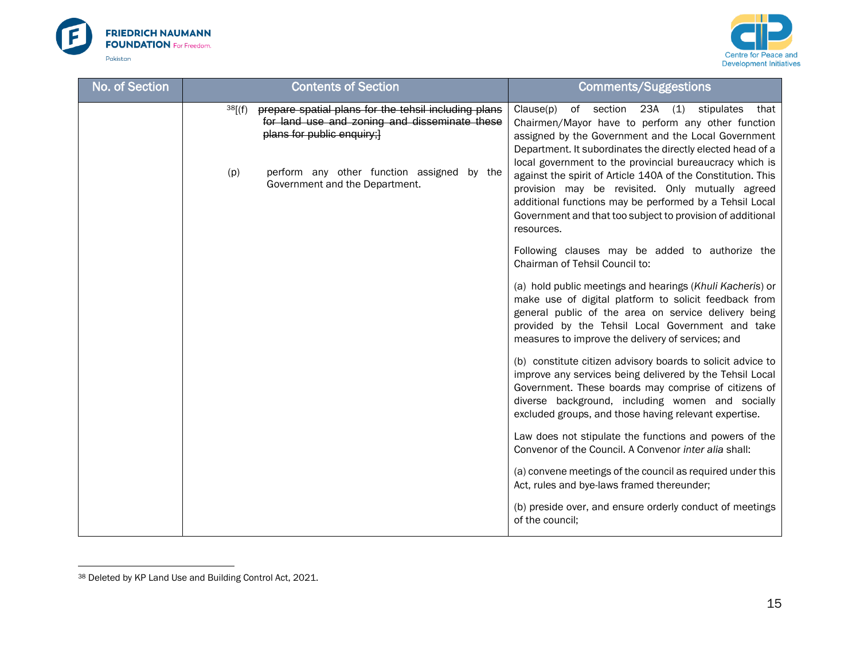



| No. of Section | <b>Contents of Section</b>                                                                                                                    | <b>Comments/Suggestions</b>                                                                                                                                                                                                                                                                                        |
|----------------|-----------------------------------------------------------------------------------------------------------------------------------------------|--------------------------------------------------------------------------------------------------------------------------------------------------------------------------------------------------------------------------------------------------------------------------------------------------------------------|
|                | prepare spatial plans for the tehsil including plans<br>38[(f)<br>for land use and zoning and disseminate these<br>plans for public enquiry;} | Clause(p)<br>of section 23A (1) stipulates<br>that<br>Chairmen/Mayor have to perform any other function<br>assigned by the Government and the Local Government<br>Department. It subordinates the directly elected head of a                                                                                       |
|                | perform any other function assigned by the<br>(p)<br>Government and the Department.                                                           | local government to the provincial bureaucracy which is<br>against the spirit of Article 140A of the Constitution. This<br>provision may be revisited. Only mutually agreed<br>additional functions may be performed by a Tehsil Local<br>Government and that too subject to provision of additional<br>resources. |
|                |                                                                                                                                               | Following clauses may be added to authorize the<br>Chairman of Tehsil Council to:                                                                                                                                                                                                                                  |
|                |                                                                                                                                               | (a) hold public meetings and hearings (Khuli Kacheris) or<br>make use of digital platform to solicit feedback from<br>general public of the area on service delivery being<br>provided by the Tehsil Local Government and take<br>measures to improve the delivery of services; and                                |
|                |                                                                                                                                               | (b) constitute citizen advisory boards to solicit advice to<br>improve any services being delivered by the Tehsil Local<br>Government. These boards may comprise of citizens of<br>diverse background, including women and socially<br>excluded groups, and those having relevant expertise.                       |
|                |                                                                                                                                               | Law does not stipulate the functions and powers of the<br>Convenor of the Council. A Convenor inter alia shall:                                                                                                                                                                                                    |
|                |                                                                                                                                               | (a) convene meetings of the council as required under this<br>Act, rules and bye-laws framed thereunder;                                                                                                                                                                                                           |
|                |                                                                                                                                               | (b) preside over, and ensure orderly conduct of meetings<br>of the council;                                                                                                                                                                                                                                        |

<sup>38</sup> Deleted by KP Land Use and Building Control Act, 2021.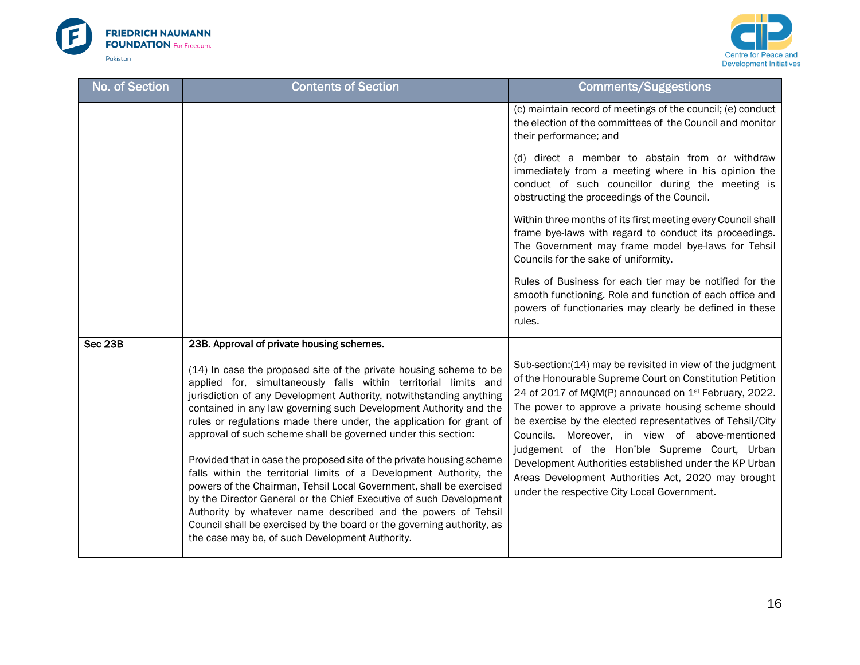



| <b>Contents of Section</b>                                                                                                                                                                                                                                                                                                                                                                                                                                                                                                                                                                                                                                                                                                                                                                                                                                                                                           | <b>Comments/Suggestions</b>                                                                                                                                                                                                                                                                                                                                                                                                                                                                                                                                                         |
|----------------------------------------------------------------------------------------------------------------------------------------------------------------------------------------------------------------------------------------------------------------------------------------------------------------------------------------------------------------------------------------------------------------------------------------------------------------------------------------------------------------------------------------------------------------------------------------------------------------------------------------------------------------------------------------------------------------------------------------------------------------------------------------------------------------------------------------------------------------------------------------------------------------------|-------------------------------------------------------------------------------------------------------------------------------------------------------------------------------------------------------------------------------------------------------------------------------------------------------------------------------------------------------------------------------------------------------------------------------------------------------------------------------------------------------------------------------------------------------------------------------------|
|                                                                                                                                                                                                                                                                                                                                                                                                                                                                                                                                                                                                                                                                                                                                                                                                                                                                                                                      | (c) maintain record of meetings of the council; (e) conduct<br>the election of the committees of the Council and monitor<br>their performance; and                                                                                                                                                                                                                                                                                                                                                                                                                                  |
|                                                                                                                                                                                                                                                                                                                                                                                                                                                                                                                                                                                                                                                                                                                                                                                                                                                                                                                      | (d) direct a member to abstain from or withdraw<br>immediately from a meeting where in his opinion the<br>conduct of such councillor during the meeting is<br>obstructing the proceedings of the Council.                                                                                                                                                                                                                                                                                                                                                                           |
|                                                                                                                                                                                                                                                                                                                                                                                                                                                                                                                                                                                                                                                                                                                                                                                                                                                                                                                      | Within three months of its first meeting every Council shall<br>frame bye-laws with regard to conduct its proceedings.<br>The Government may frame model bye-laws for Tehsil<br>Councils for the sake of uniformity.                                                                                                                                                                                                                                                                                                                                                                |
|                                                                                                                                                                                                                                                                                                                                                                                                                                                                                                                                                                                                                                                                                                                                                                                                                                                                                                                      | Rules of Business for each tier may be notified for the<br>smooth functioning. Role and function of each office and<br>powers of functionaries may clearly be defined in these<br>rules.                                                                                                                                                                                                                                                                                                                                                                                            |
| 23B. Approval of private housing schemes.                                                                                                                                                                                                                                                                                                                                                                                                                                                                                                                                                                                                                                                                                                                                                                                                                                                                            |                                                                                                                                                                                                                                                                                                                                                                                                                                                                                                                                                                                     |
| (14) In case the proposed site of the private housing scheme to be<br>applied for, simultaneously falls within territorial limits and<br>jurisdiction of any Development Authority, notwithstanding anything<br>contained in any law governing such Development Authority and the<br>rules or regulations made there under, the application for grant of<br>approval of such scheme shall be governed under this section:<br>Provided that in case the proposed site of the private housing scheme<br>falls within the territorial limits of a Development Authority, the<br>powers of the Chairman, Tehsil Local Government, shall be exercised<br>by the Director General or the Chief Executive of such Development<br>Authority by whatever name described and the powers of Tehsil<br>Council shall be exercised by the board or the governing authority, as<br>the case may be, of such Development Authority. | Sub-section: (14) may be revisited in view of the judgment<br>of the Honourable Supreme Court on Constitution Petition<br>24 of 2017 of MQM(P) announced on 1 <sup>st</sup> February, 2022.<br>The power to approve a private housing scheme should<br>be exercise by the elected representatives of Tehsil/City<br>Councils. Moreover, in view of above-mentioned<br>judgement of the Hon'ble Supreme Court, Urban<br>Development Authorities established under the KP Urban<br>Areas Development Authorities Act, 2020 may brought<br>under the respective City Local Government. |
|                                                                                                                                                                                                                                                                                                                                                                                                                                                                                                                                                                                                                                                                                                                                                                                                                                                                                                                      |                                                                                                                                                                                                                                                                                                                                                                                                                                                                                                                                                                                     |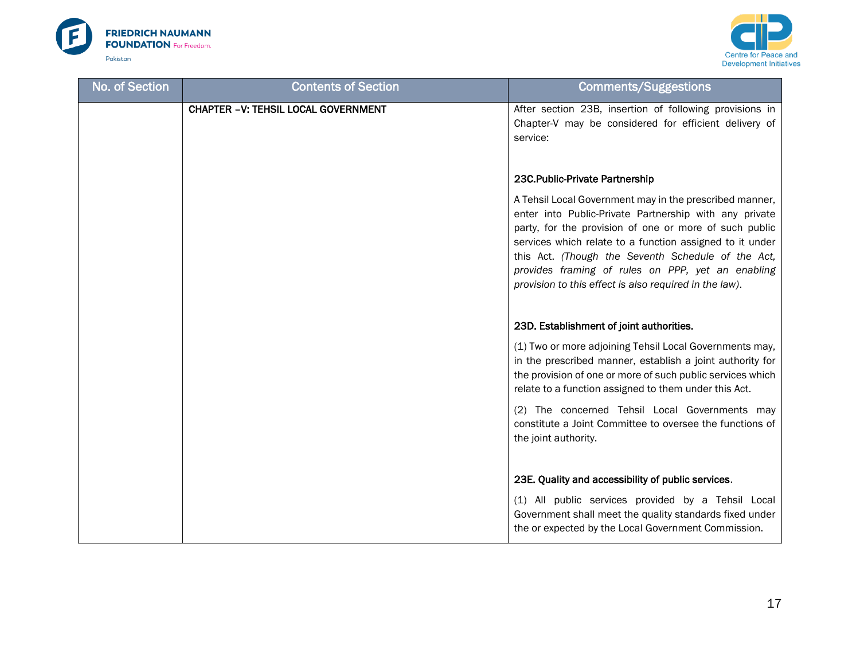



| No. of Section | <b>Contents of Section</b>                 | <b>Comments/Suggestions</b>                                                                                                                                                                                                                                                                                                                                                                                  |
|----------------|--------------------------------------------|--------------------------------------------------------------------------------------------------------------------------------------------------------------------------------------------------------------------------------------------------------------------------------------------------------------------------------------------------------------------------------------------------------------|
|                | <b>CHAPTER -V: TEHSIL LOCAL GOVERNMENT</b> | After section 23B, insertion of following provisions in<br>Chapter-V may be considered for efficient delivery of<br>service:                                                                                                                                                                                                                                                                                 |
|                |                                            | 23C.Public-Private Partnership                                                                                                                                                                                                                                                                                                                                                                               |
|                |                                            | A Tehsil Local Government may in the prescribed manner,<br>enter into Public-Private Partnership with any private<br>party, for the provision of one or more of such public<br>services which relate to a function assigned to it under<br>this Act. (Though the Seventh Schedule of the Act,<br>provides framing of rules on PPP, yet an enabling<br>provision to this effect is also required in the law). |
|                |                                            | 23D. Establishment of joint authorities.                                                                                                                                                                                                                                                                                                                                                                     |
|                |                                            | (1) Two or more adjoining Tehsil Local Governments may,<br>in the prescribed manner, establish a joint authority for<br>the provision of one or more of such public services which<br>relate to a function assigned to them under this Act.                                                                                                                                                                  |
|                |                                            | (2) The concerned Tehsil Local Governments may<br>constitute a Joint Committee to oversee the functions of<br>the joint authority.                                                                                                                                                                                                                                                                           |
|                |                                            | 23E. Quality and accessibility of public services.                                                                                                                                                                                                                                                                                                                                                           |
|                |                                            | (1) All public services provided by a Tehsil Local<br>Government shall meet the quality standards fixed under<br>the or expected by the Local Government Commission.                                                                                                                                                                                                                                         |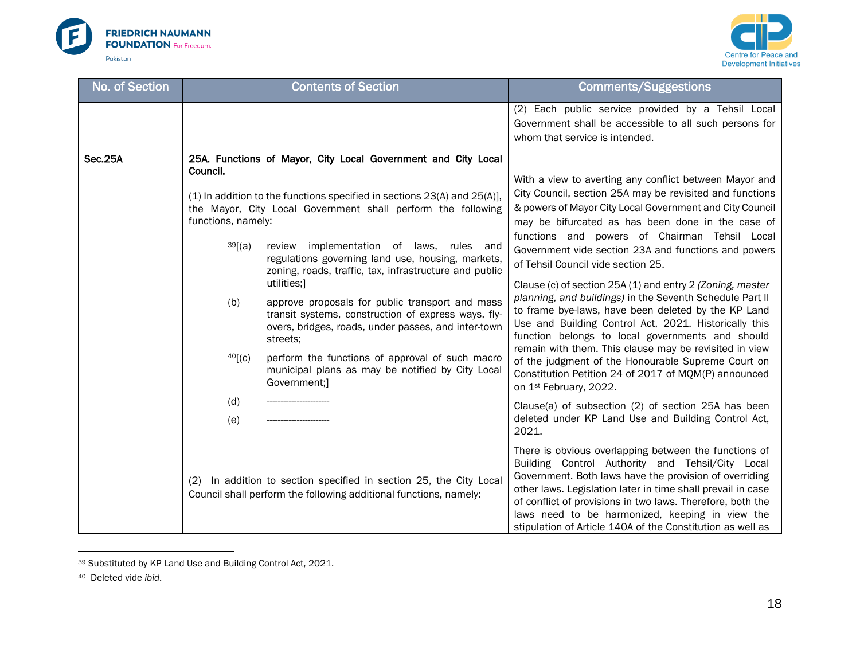



| No. of Section | <b>Contents of Section</b>                                         |                                                                                                                                                                                                                                                                                                                                                                                                                                                                                                                                                                                                                                                                                         | <b>Comments/Suggestions</b>                                                                                                                                                                                                                                                                                                                                                                                                                                                                                                                                                                                                                                                                                                                                                                                                                                                                                                                          |
|----------------|--------------------------------------------------------------------|-----------------------------------------------------------------------------------------------------------------------------------------------------------------------------------------------------------------------------------------------------------------------------------------------------------------------------------------------------------------------------------------------------------------------------------------------------------------------------------------------------------------------------------------------------------------------------------------------------------------------------------------------------------------------------------------|------------------------------------------------------------------------------------------------------------------------------------------------------------------------------------------------------------------------------------------------------------------------------------------------------------------------------------------------------------------------------------------------------------------------------------------------------------------------------------------------------------------------------------------------------------------------------------------------------------------------------------------------------------------------------------------------------------------------------------------------------------------------------------------------------------------------------------------------------------------------------------------------------------------------------------------------------|
|                |                                                                    |                                                                                                                                                                                                                                                                                                                                                                                                                                                                                                                                                                                                                                                                                         | (2) Each public service provided by a Tehsil Local<br>Government shall be accessible to all such persons for<br>whom that service is intended.                                                                                                                                                                                                                                                                                                                                                                                                                                                                                                                                                                                                                                                                                                                                                                                                       |
| <b>Sec.25A</b> | Council.<br>functions, namely:<br>39[(a)]<br>(b)<br>40[(c)]<br>(d) | 25A. Functions of Mayor, City Local Government and City Local<br>(1) In addition to the functions specified in sections 23(A) and 25(A)],<br>the Mayor, City Local Government shall perform the following<br>review implementation of laws, rules and<br>regulations governing land use, housing, markets,<br>zoning, roads, traffic, tax, infrastructure and public<br>utilities;]<br>approve proposals for public transport and mass<br>transit systems, construction of express ways, fly-<br>overs, bridges, roads, under passes, and inter-town<br>streets:<br>perform the functions of approval of such macro<br>municipal plans as may be notified by City Local<br>Government;} | With a view to averting any conflict between Mayor and<br>City Council, section 25A may be revisited and functions<br>& powers of Mayor City Local Government and City Council<br>may be bifurcated as has been done in the case of<br>functions and powers of Chairman Tehsil Local<br>Government vide section 23A and functions and powers<br>of Tehsil Council vide section 25.<br>Clause (c) of section 25A (1) and entry 2 (Zoning, master<br>planning, and buildings) in the Seventh Schedule Part II<br>to frame bye-laws, have been deleted by the KP Land<br>Use and Building Control Act, 2021. Historically this<br>function belongs to local governments and should<br>remain with them. This clause may be revisited in view<br>of the judgment of the Honourable Supreme Court on<br>Constitution Petition 24 of 2017 of MQM(P) announced<br>on 1 <sup>st</sup> February, 2022.<br>Clause(a) of subsection (2) of section 25A has been |
|                | (e)                                                                | (2) In addition to section specified in section 25, the City Local<br>Council shall perform the following additional functions, namely:                                                                                                                                                                                                                                                                                                                                                                                                                                                                                                                                                 | deleted under KP Land Use and Building Control Act,<br>2021.<br>There is obvious overlapping between the functions of<br>Building Control Authority and Tehsil/City Local<br>Government. Both laws have the provision of overriding<br>other laws. Legislation later in time shall prevail in case<br>of conflict of provisions in two laws. Therefore, both the<br>laws need to be harmonized, keeping in view the<br>stipulation of Article 140A of the Constitution as well as                                                                                                                                                                                                                                                                                                                                                                                                                                                                    |

<sup>39</sup> Substituted by KP Land Use and Building Control Act, 2021.

<sup>40</sup> Deleted vide *ibid*.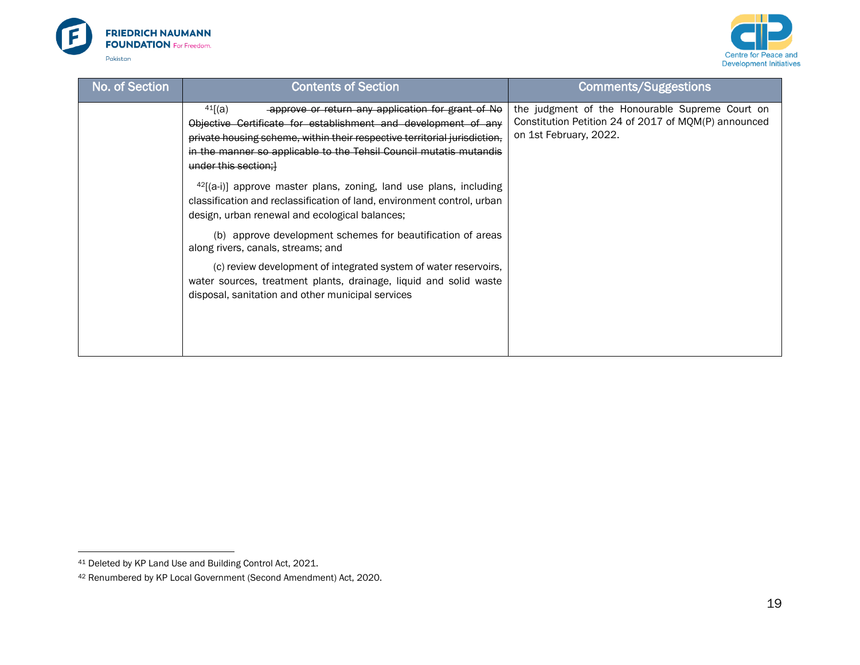



| No. of Section | <b>Contents of Section</b>                                                                                                                                                                                                                                                                               | <b>Comments/Suggestions</b>                                                                                                       |
|----------------|----------------------------------------------------------------------------------------------------------------------------------------------------------------------------------------------------------------------------------------------------------------------------------------------------------|-----------------------------------------------------------------------------------------------------------------------------------|
|                | 41[(a)]<br>approve or return any application for grant of No<br>Objective Certificate for establishment and development of any<br>private housing scheme, within their respective territorial jurisdiction,<br>in the manner so applicable to the Tehsil Council mutatis mutandis<br>under this section; | the judgment of the Honourable Supreme Court on<br>Constitution Petition 24 of 2017 of MQM(P) announced<br>on 1st February, 2022. |
|                | $^{42}$ [(a-i)] approve master plans, zoning, land use plans, including<br>classification and reclassification of land, environment control, urban<br>design, urban renewal and ecological balances;                                                                                                     |                                                                                                                                   |
|                | (b) approve development schemes for beautification of areas<br>along rivers, canals, streams; and                                                                                                                                                                                                        |                                                                                                                                   |
|                | (c) review development of integrated system of water reservoirs,<br>water sources, treatment plants, drainage, liquid and solid waste<br>disposal, sanitation and other municipal services                                                                                                               |                                                                                                                                   |

<sup>41</sup> Deleted by KP Land Use and Building Control Act, 2021.

<sup>42</sup> Renumbered by KP Local Government (Second Amendment) Act, 2020.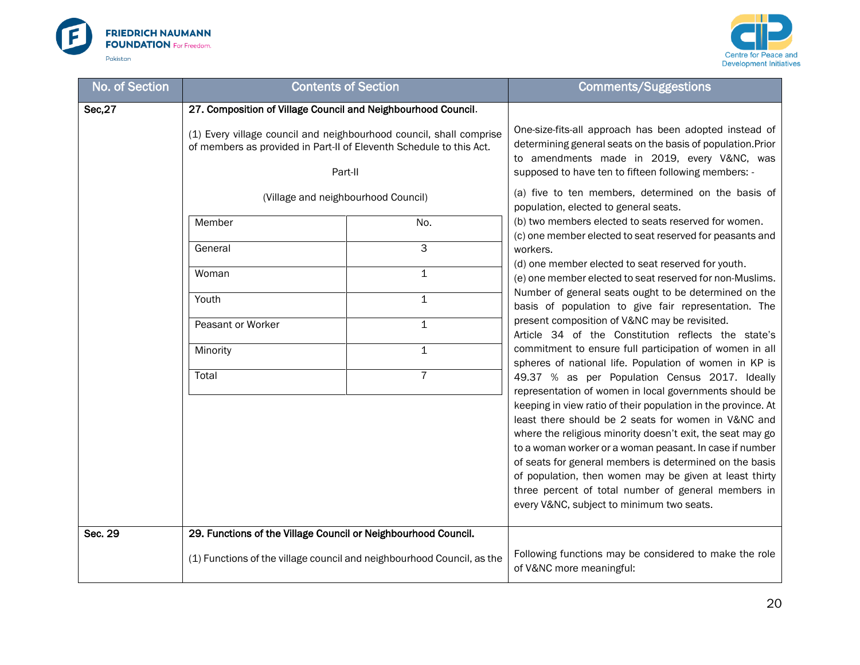



| No. of Section                                                                                                                                        | <b>Contents of Section</b>                                     |                                                                                    | <b>Comments/Suggestions</b>                                                                                                                                                                                                                                                                                                                                                                                                                                                                                                      |
|-------------------------------------------------------------------------------------------------------------------------------------------------------|----------------------------------------------------------------|------------------------------------------------------------------------------------|----------------------------------------------------------------------------------------------------------------------------------------------------------------------------------------------------------------------------------------------------------------------------------------------------------------------------------------------------------------------------------------------------------------------------------------------------------------------------------------------------------------------------------|
| Sec, 27                                                                                                                                               | 27. Composition of Village Council and Neighbourhood Council.  |                                                                                    |                                                                                                                                                                                                                                                                                                                                                                                                                                                                                                                                  |
| (1) Every village council and neighbourhood council, shall comprise<br>of members as provided in Part-II of Eleventh Schedule to this Act.<br>Part-II |                                                                |                                                                                    | One-size-fits-all approach has been adopted instead of<br>determining general seats on the basis of population. Prior<br>to amendments made in 2019, every V&NC, was<br>supposed to have ten to fifteen following members: -                                                                                                                                                                                                                                                                                                     |
|                                                                                                                                                       | (Village and neighbourhood Council)                            |                                                                                    | (a) five to ten members, determined on the basis of<br>population, elected to general seats.                                                                                                                                                                                                                                                                                                                                                                                                                                     |
|                                                                                                                                                       | Member                                                         | No.                                                                                | (b) two members elected to seats reserved for women.<br>(c) one member elected to seat reserved for peasants and                                                                                                                                                                                                                                                                                                                                                                                                                 |
|                                                                                                                                                       | General                                                        | 3                                                                                  | workers.                                                                                                                                                                                                                                                                                                                                                                                                                                                                                                                         |
|                                                                                                                                                       | Woman                                                          | $\mathbf 1$                                                                        | (d) one member elected to seat reserved for youth.<br>(e) one member elected to seat reserved for non-Muslims.                                                                                                                                                                                                                                                                                                                                                                                                                   |
|                                                                                                                                                       | Youth                                                          | $\mathbf 1$                                                                        | Number of general seats ought to be determined on the<br>basis of population to give fair representation. The                                                                                                                                                                                                                                                                                                                                                                                                                    |
|                                                                                                                                                       | Peasant or Worker                                              | $\mathbf{1}$                                                                       | present composition of V&NC may be revisited.<br>Article 34 of the Constitution reflects the state's                                                                                                                                                                                                                                                                                                                                                                                                                             |
|                                                                                                                                                       | Minority                                                       | $\mathbf{1}$                                                                       | commitment to ensure full participation of women in all<br>spheres of national life. Population of women in KP is                                                                                                                                                                                                                                                                                                                                                                                                                |
|                                                                                                                                                       | Total                                                          | $\overline{7}$                                                                     | 49.37 % as per Population Census 2017. Ideally                                                                                                                                                                                                                                                                                                                                                                                                                                                                                   |
|                                                                                                                                                       |                                                                |                                                                                    | representation of women in local governments should be<br>keeping in view ratio of their population in the province. At<br>least there should be 2 seats for women in V&NC and<br>where the religious minority doesn't exit, the seat may go<br>to a woman worker or a woman peasant. In case if number<br>of seats for general members is determined on the basis<br>of population, then women may be given at least thirty<br>three percent of total number of general members in<br>every V&NC, subject to minimum two seats. |
| Sec. 29                                                                                                                                               | 29. Functions of the Village Council or Neighbourhood Council. |                                                                                    |                                                                                                                                                                                                                                                                                                                                                                                                                                                                                                                                  |
| (1) Functions of the village council and neighbourhood Council, as the                                                                                |                                                                | Following functions may be considered to make the role<br>of V&NC more meaningful: |                                                                                                                                                                                                                                                                                                                                                                                                                                                                                                                                  |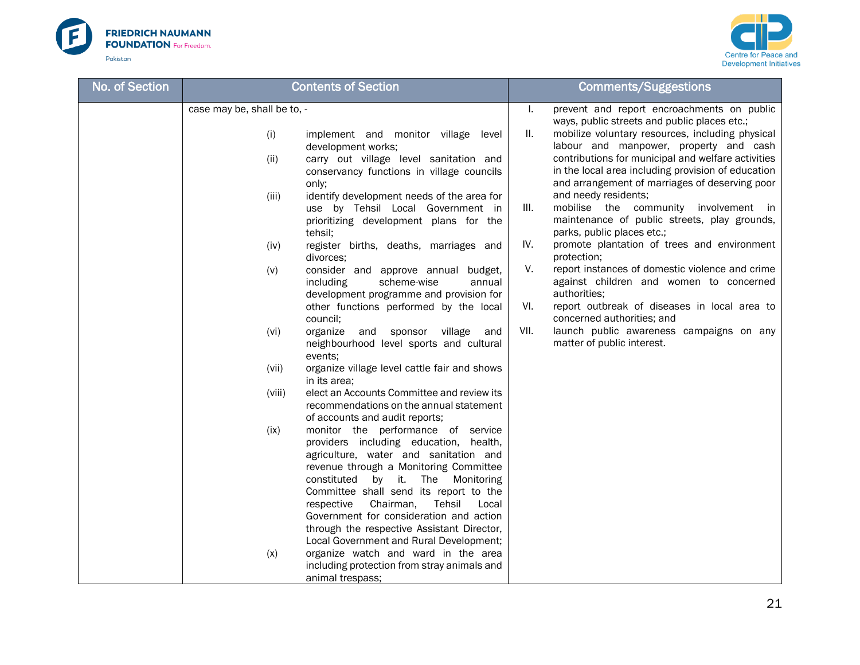



|                                                                                                                                                                                                                                                                                                                                                                                                                                                                                                                                                                                                                                                                                                                                                                                                                                                                                                                                                                                                                                                                                                                                                                                                                                                                                                                                                                                                                                                                                                    | <b>Comments/Suggestions</b>                                                                                                                                                                                                                                                                                                                                                                                                                                                                                                                                                                                                                                                                                                                                                                                                                                                               |
|----------------------------------------------------------------------------------------------------------------------------------------------------------------------------------------------------------------------------------------------------------------------------------------------------------------------------------------------------------------------------------------------------------------------------------------------------------------------------------------------------------------------------------------------------------------------------------------------------------------------------------------------------------------------------------------------------------------------------------------------------------------------------------------------------------------------------------------------------------------------------------------------------------------------------------------------------------------------------------------------------------------------------------------------------------------------------------------------------------------------------------------------------------------------------------------------------------------------------------------------------------------------------------------------------------------------------------------------------------------------------------------------------------------------------------------------------------------------------------------------------|-------------------------------------------------------------------------------------------------------------------------------------------------------------------------------------------------------------------------------------------------------------------------------------------------------------------------------------------------------------------------------------------------------------------------------------------------------------------------------------------------------------------------------------------------------------------------------------------------------------------------------------------------------------------------------------------------------------------------------------------------------------------------------------------------------------------------------------------------------------------------------------------|
| case may be, shall be to, -<br>(i)<br>implement and monitor village level<br>development works;<br>(ii)<br>carry out village level sanitation and<br>conservancy functions in village councils<br>only;<br>identify development needs of the area for<br>(iii)<br>use by Tehsil Local Government in<br>prioritizing development plans for the<br>tehsil;<br>(iv)<br>register births, deaths, marriages and<br>divorces;<br>consider and approve annual budget,<br>(v)<br>including<br>scheme-wise<br>annual<br>development programme and provision for<br>other functions performed by the local<br>council;<br>(vi)<br>organize and sponsor village<br>and<br>neighbourhood level sports and cultural<br>events;<br>(vii)<br>organize village level cattle fair and shows<br>in its area;<br>elect an Accounts Committee and review its<br>(viii)<br>recommendations on the annual statement<br>of accounts and audit reports;<br>(ix)<br>monitor the performance of service<br>providers including education, health,<br>agriculture, water and sanitation and<br>revenue through a Monitoring Committee<br>constituted<br>by it. The<br>Monitoring<br>Committee shall send its report to the<br>Chairman,<br>Tehsil<br>respective<br>Local<br>Government for consideration and action<br>through the respective Assistant Director,<br>Local Government and Rural Development;<br>organize watch and ward in the area<br>(x)<br>including protection from stray animals and<br>animal trespass; | prevent and report encroachments on public<br>ı.<br>ways, public streets and public places etc.;<br>Ш.<br>mobilize voluntary resources, including physical<br>labour and manpower, property and cash<br>contributions for municipal and welfare activities<br>in the local area including provision of education<br>and arrangement of marriages of deserving poor<br>and needy residents;<br>III.<br>mobilise the community involvement in<br>maintenance of public streets, play grounds,<br>parks, public places etc.;<br>IV.<br>promote plantation of trees and environment<br>protection;<br>report instances of domestic violence and crime<br>V.<br>against children and women to concerned<br>authorities;<br>VI.<br>report outbreak of diseases in local area to<br>concerned authorities; and<br>VII.<br>launch public awareness campaigns on any<br>matter of public interest. |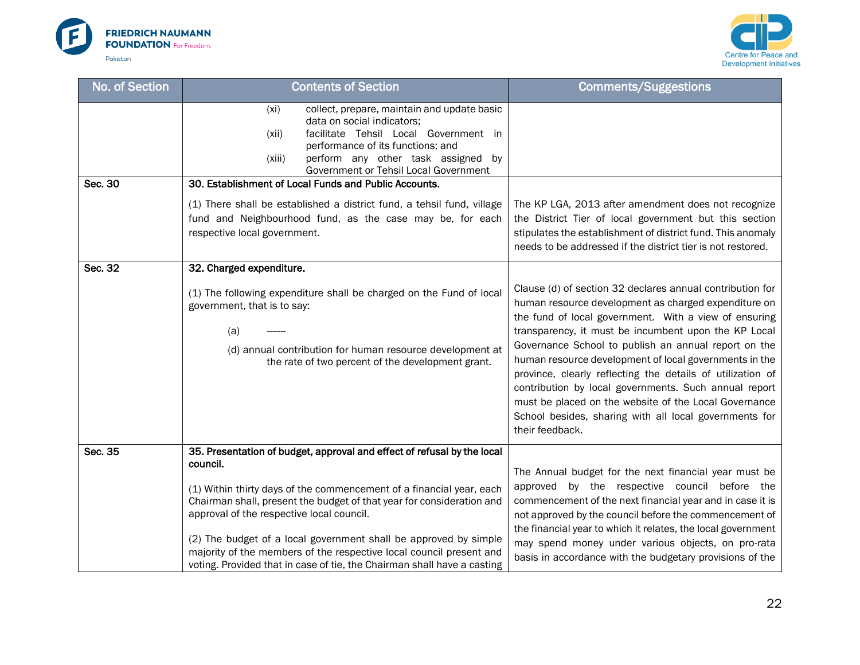



| No. of Section | <b>Contents of Section</b>                                                                                                                                                                                                                                                                                                                            | <b>Comments/Suggestions</b>                                                                                                                                                                                                                                                                                                                                                                                                                                                                                                                                                                                       |
|----------------|-------------------------------------------------------------------------------------------------------------------------------------------------------------------------------------------------------------------------------------------------------------------------------------------------------------------------------------------------------|-------------------------------------------------------------------------------------------------------------------------------------------------------------------------------------------------------------------------------------------------------------------------------------------------------------------------------------------------------------------------------------------------------------------------------------------------------------------------------------------------------------------------------------------------------------------------------------------------------------------|
|                | collect, prepare, maintain and update basic<br>(x <sub>i</sub> )<br>data on social indicators;<br>facilitate Tehsil Local Government in<br>(xii)<br>performance of its functions; and<br>perform any other task assigned by<br>(xiii)<br>Government or Tehsil Local Government                                                                        |                                                                                                                                                                                                                                                                                                                                                                                                                                                                                                                                                                                                                   |
| Sec. 30        | 30. Establishment of Local Funds and Public Accounts.                                                                                                                                                                                                                                                                                                 |                                                                                                                                                                                                                                                                                                                                                                                                                                                                                                                                                                                                                   |
|                | (1) There shall be established a district fund, a tehsil fund, village<br>fund and Neighbourhood fund, as the case may be, for each<br>respective local government.                                                                                                                                                                                   | The KP LGA, 2013 after amendment does not recognize<br>the District Tier of local government but this section<br>stipulates the establishment of district fund. This anomaly<br>needs to be addressed if the district tier is not restored.                                                                                                                                                                                                                                                                                                                                                                       |
| Sec. 32        | 32. Charged expenditure.                                                                                                                                                                                                                                                                                                                              |                                                                                                                                                                                                                                                                                                                                                                                                                                                                                                                                                                                                                   |
|                | (1) The following expenditure shall be charged on the Fund of local<br>government, that is to say:<br>(a)<br>(d) annual contribution for human resource development at<br>the rate of two percent of the development grant.                                                                                                                           | Clause (d) of section 32 declares annual contribution for<br>human resource development as charged expenditure on<br>the fund of local government. With a view of ensuring<br>transparency, it must be incumbent upon the KP Local<br>Governance School to publish an annual report on the<br>human resource development of local governments in the<br>province, clearly reflecting the details of utilization of<br>contribution by local governments. Such annual report<br>must be placed on the website of the Local Governance<br>School besides, sharing with all local governments for<br>their feedback. |
| Sec. 35        | 35. Presentation of budget, approval and effect of refusal by the local<br>council.<br>(1) Within thirty days of the commencement of a financial year, each<br>Chairman shall, present the budget of that year for consideration and<br>approval of the respective local council.<br>(2) The budget of a local government shall be approved by simple | The Annual budget for the next financial year must be<br>approved by the respective council before the<br>commencement of the next financial year and in case it is<br>not approved by the council before the commencement of<br>the financial year to which it relates, the local government<br>may spend money under various objects, on pro-rata                                                                                                                                                                                                                                                               |
|                | majority of the members of the respective local council present and<br>voting. Provided that in case of tie, the Chairman shall have a casting                                                                                                                                                                                                        | basis in accordance with the budgetary provisions of the                                                                                                                                                                                                                                                                                                                                                                                                                                                                                                                                                          |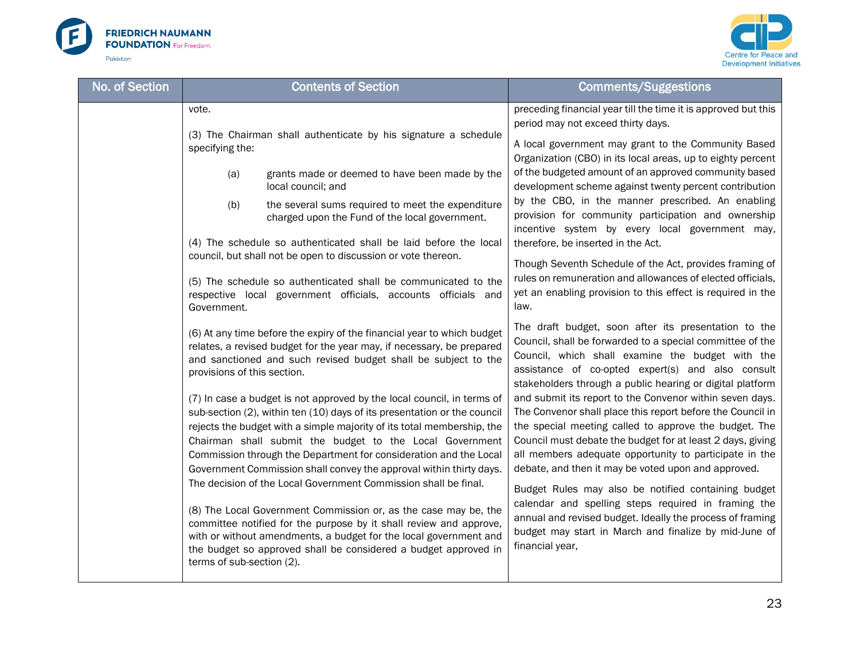



| No. of Section | <b>Contents of Section</b>                                                                                                                                                                                                                                                                                                                                                                                                                                                                                                                                                                                                                                                                                                                                                                                                                                                                                                                                                                                                                                                 | <b>Comments/Suggestions</b>                                                                                                                                                                                                                                                                                                                                                                                                                                                                                                                                                                                                                                                                                                                                                                                                                                                                                      |
|----------------|----------------------------------------------------------------------------------------------------------------------------------------------------------------------------------------------------------------------------------------------------------------------------------------------------------------------------------------------------------------------------------------------------------------------------------------------------------------------------------------------------------------------------------------------------------------------------------------------------------------------------------------------------------------------------------------------------------------------------------------------------------------------------------------------------------------------------------------------------------------------------------------------------------------------------------------------------------------------------------------------------------------------------------------------------------------------------|------------------------------------------------------------------------------------------------------------------------------------------------------------------------------------------------------------------------------------------------------------------------------------------------------------------------------------------------------------------------------------------------------------------------------------------------------------------------------------------------------------------------------------------------------------------------------------------------------------------------------------------------------------------------------------------------------------------------------------------------------------------------------------------------------------------------------------------------------------------------------------------------------------------|
|                | vote.<br>(3) The Chairman shall authenticate by his signature a schedule<br>specifying the:                                                                                                                                                                                                                                                                                                                                                                                                                                                                                                                                                                                                                                                                                                                                                                                                                                                                                                                                                                                | preceding financial year till the time it is approved but this<br>period may not exceed thirty days.<br>A local government may grant to the Community Based<br>Organization (CBO) in its local areas, up to eighty percent                                                                                                                                                                                                                                                                                                                                                                                                                                                                                                                                                                                                                                                                                       |
|                | grants made or deemed to have been made by the<br>(a)<br>local council; and<br>the several sums required to meet the expenditure<br>(b)<br>charged upon the Fund of the local government.                                                                                                                                                                                                                                                                                                                                                                                                                                                                                                                                                                                                                                                                                                                                                                                                                                                                                  | of the budgeted amount of an approved community based<br>development scheme against twenty percent contribution<br>by the CBO, in the manner prescribed. An enabling<br>provision for community participation and ownership<br>incentive system by every local government may,                                                                                                                                                                                                                                                                                                                                                                                                                                                                                                                                                                                                                                   |
|                | (4) The schedule so authenticated shall be laid before the local<br>council, but shall not be open to discussion or vote thereon.<br>(5) The schedule so authenticated shall be communicated to the<br>respective local government officials, accounts officials and<br>Government.                                                                                                                                                                                                                                                                                                                                                                                                                                                                                                                                                                                                                                                                                                                                                                                        | therefore, be inserted in the Act.<br>Though Seventh Schedule of the Act, provides framing of<br>rules on remuneration and allowances of elected officials,<br>yet an enabling provision to this effect is required in the<br>law.                                                                                                                                                                                                                                                                                                                                                                                                                                                                                                                                                                                                                                                                               |
|                | (6) At any time before the expiry of the financial year to which budget<br>relates, a revised budget for the year may, if necessary, be prepared<br>and sanctioned and such revised budget shall be subject to the<br>provisions of this section.<br>(7) In case a budget is not approved by the local council, in terms of<br>sub-section (2), within ten (10) days of its presentation or the council<br>rejects the budget with a simple majority of its total membership, the<br>Chairman shall submit the budget to the Local Government<br>Commission through the Department for consideration and the Local<br>Government Commission shall convey the approval within thirty days.<br>The decision of the Local Government Commission shall be final.<br>(8) The Local Government Commission or, as the case may be, the<br>committee notified for the purpose by it shall review and approve,<br>with or without amendments, a budget for the local government and<br>the budget so approved shall be considered a budget approved in<br>terms of sub-section (2). | The draft budget, soon after its presentation to the<br>Council, shall be forwarded to a special committee of the<br>Council, which shall examine the budget with the<br>assistance of co-opted expert(s) and also consult<br>stakeholders through a public hearing or digital platform<br>and submit its report to the Convenor within seven days.<br>The Convenor shall place this report before the Council in<br>the special meeting called to approve the budget. The<br>Council must debate the budget for at least 2 days, giving<br>all members adequate opportunity to participate in the<br>debate, and then it may be voted upon and approved.<br>Budget Rules may also be notified containing budget<br>calendar and spelling steps required in framing the<br>annual and revised budget. Ideally the process of framing<br>budget may start in March and finalize by mid-June of<br>financial year, |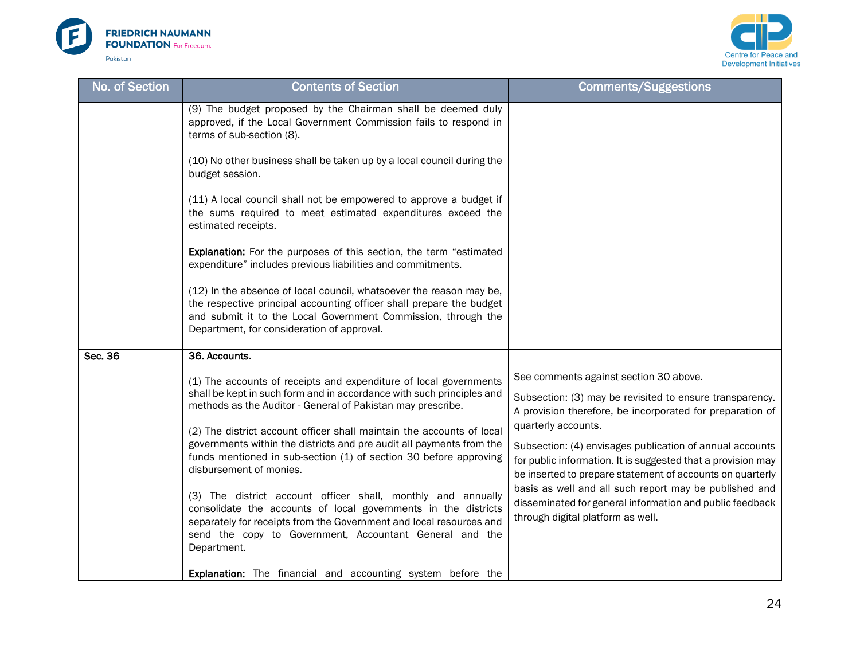



| No. of Section | <b>Contents of Section</b>                                                                                                                                                                                                                                                      | <b>Comments/Suggestions</b>                                                                                                                                                                                  |
|----------------|---------------------------------------------------------------------------------------------------------------------------------------------------------------------------------------------------------------------------------------------------------------------------------|--------------------------------------------------------------------------------------------------------------------------------------------------------------------------------------------------------------|
|                | (9) The budget proposed by the Chairman shall be deemed duly<br>approved, if the Local Government Commission fails to respond in<br>terms of sub-section (8).                                                                                                                   |                                                                                                                                                                                                              |
|                | (10) No other business shall be taken up by a local council during the<br>budget session.                                                                                                                                                                                       |                                                                                                                                                                                                              |
|                | (11) A local council shall not be empowered to approve a budget if<br>the sums required to meet estimated expenditures exceed the<br>estimated receipts.                                                                                                                        |                                                                                                                                                                                                              |
|                | <b>Explanation:</b> For the purposes of this section, the term "estimated<br>expenditure" includes previous liabilities and commitments.                                                                                                                                        |                                                                                                                                                                                                              |
|                | (12) In the absence of local council, whatsoever the reason may be,<br>the respective principal accounting officer shall prepare the budget<br>and submit it to the Local Government Commission, through the<br>Department, for consideration of approval.                      |                                                                                                                                                                                                              |
| Sec. 36        | 36. Accounts.                                                                                                                                                                                                                                                                   |                                                                                                                                                                                                              |
|                | (1) The accounts of receipts and expenditure of local governments<br>shall be kept in such form and in accordance with such principles and<br>methods as the Auditor - General of Pakistan may prescribe.                                                                       | See comments against section 30 above.<br>Subsection: (3) may be revisited to ensure transparency.<br>A provision therefore, be incorporated for preparation of                                              |
|                | (2) The district account officer shall maintain the accounts of local<br>governments within the districts and pre audit all payments from the<br>funds mentioned in sub-section (1) of section 30 before approving<br>disbursement of monies.                                   | quarterly accounts.<br>Subsection: (4) envisages publication of annual accounts<br>for public information. It is suggested that a provision may<br>be inserted to prepare statement of accounts on quarterly |
|                | (3) The district account officer shall, monthly and annually<br>consolidate the accounts of local governments in the districts<br>separately for receipts from the Government and local resources and<br>send the copy to Government, Accountant General and the<br>Department. | basis as well and all such report may be published and<br>disseminated for general information and public feedback<br>through digital platform as well.                                                      |
|                | <b>Explanation:</b> The financial and accounting system before the                                                                                                                                                                                                              |                                                                                                                                                                                                              |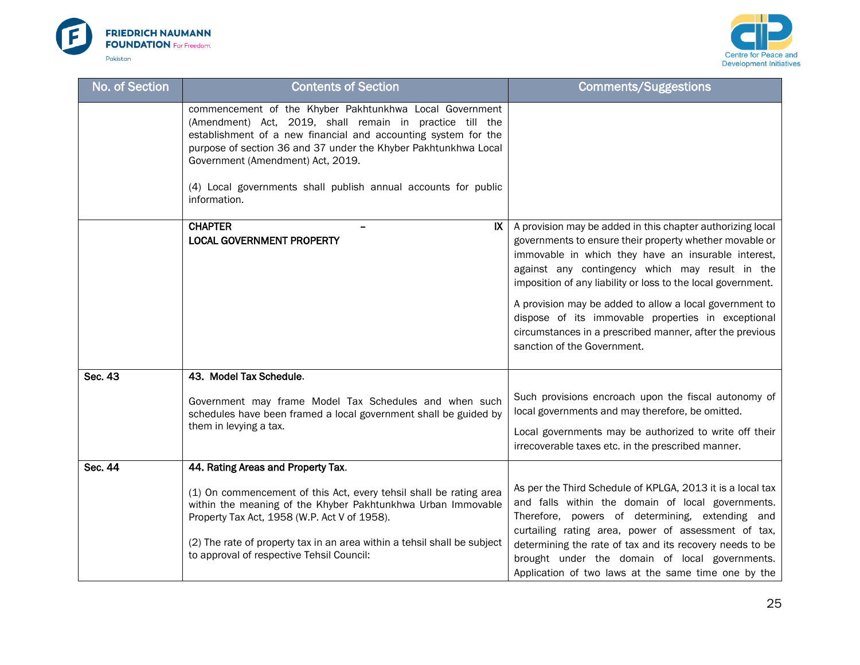



| No. of Section | <b>Contents of Section</b>                                                                                                                                                                                                                                                                                                                                                      | <b>Comments/Suggestions</b>                                                                                                                                                                                                                                                                                                                                                                                                                                                                                 |
|----------------|---------------------------------------------------------------------------------------------------------------------------------------------------------------------------------------------------------------------------------------------------------------------------------------------------------------------------------------------------------------------------------|-------------------------------------------------------------------------------------------------------------------------------------------------------------------------------------------------------------------------------------------------------------------------------------------------------------------------------------------------------------------------------------------------------------------------------------------------------------------------------------------------------------|
|                | commencement of the Khyber Pakhtunkhwa Local Government<br>(Amendment) Act, 2019, shall remain in practice till the<br>establishment of a new financial and accounting system for the<br>purpose of section 36 and 37 under the Khyber Pakhtunkhwa Local<br>Government (Amendment) Act, 2019.<br>(4) Local governments shall publish annual accounts for public<br>information. |                                                                                                                                                                                                                                                                                                                                                                                                                                                                                                             |
|                | <b>CHAPTER</b><br>IX<br><b>LOCAL GOVERNMENT PROPERTY</b>                                                                                                                                                                                                                                                                                                                        | A provision may be added in this chapter authorizing local<br>governments to ensure their property whether movable or<br>immovable in which they have an insurable interest,<br>against any contingency which may result in the<br>imposition of any liability or loss to the local government.<br>A provision may be added to allow a local government to<br>dispose of its immovable properties in exceptional<br>circumstances in a prescribed manner, after the previous<br>sanction of the Government. |
| Sec. 43        | 43. Model Tax Schedule.                                                                                                                                                                                                                                                                                                                                                         |                                                                                                                                                                                                                                                                                                                                                                                                                                                                                                             |
|                | Government may frame Model Tax Schedules and when such<br>schedules have been framed a local government shall be guided by                                                                                                                                                                                                                                                      | Such provisions encroach upon the fiscal autonomy of<br>local governments and may therefore, be omitted.                                                                                                                                                                                                                                                                                                                                                                                                    |
|                | them in levying a tax.                                                                                                                                                                                                                                                                                                                                                          | Local governments may be authorized to write off their<br>irrecoverable taxes etc. in the prescribed manner.                                                                                                                                                                                                                                                                                                                                                                                                |
| Sec. 44        | 44. Rating Areas and Property Tax.                                                                                                                                                                                                                                                                                                                                              |                                                                                                                                                                                                                                                                                                                                                                                                                                                                                                             |
|                | (1) On commencement of this Act, every tehsil shall be rating area<br>within the meaning of the Khyber Pakhtunkhwa Urban Immovable<br>Property Tax Act, 1958 (W.P. Act V of 1958).                                                                                                                                                                                              | As per the Third Schedule of KPLGA, 2013 it is a local tax<br>and falls within the domain of local governments.<br>Therefore, powers of determining, extending and<br>curtailing rating area, power of assessment of tax,                                                                                                                                                                                                                                                                                   |
|                | (2) The rate of property tax in an area within a tehsil shall be subject<br>to approval of respective Tehsil Council:                                                                                                                                                                                                                                                           | determining the rate of tax and its recovery needs to be<br>brought under the domain of local governments.<br>Application of two laws at the same time one by the                                                                                                                                                                                                                                                                                                                                           |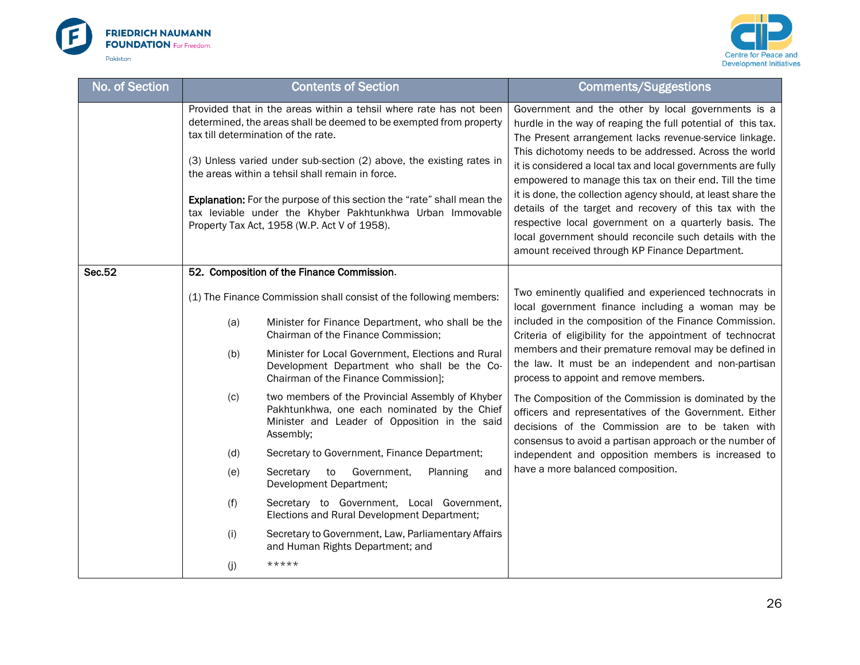



| No. of Section |     | <b>Contents of Section</b>                                                                                                                                                          | <b>Comments/Suggestions</b>                                                                                                                                                                                                                                                                   |
|----------------|-----|-------------------------------------------------------------------------------------------------------------------------------------------------------------------------------------|-----------------------------------------------------------------------------------------------------------------------------------------------------------------------------------------------------------------------------------------------------------------------------------------------|
|                |     | Provided that in the areas within a tehsil where rate has not been<br>determined, the areas shall be deemed to be exempted from property<br>tax till determination of the rate.     | Government and the other by local governments is a<br>hurdle in the way of reaping the full potential of this tax.<br>The Present arrangement lacks revenue-service linkage.<br>This dichotomy needs to be addressed. Across the world                                                        |
|                |     | (3) Unless varied under sub-section (2) above, the existing rates in<br>the areas within a tehsil shall remain in force.                                                            | it is considered a local tax and local governments are fully<br>empowered to manage this tax on their end. Till the time                                                                                                                                                                      |
|                |     | Explanation: For the purpose of this section the "rate" shall mean the<br>tax leviable under the Khyber Pakhtunkhwa Urban Immovable<br>Property Tax Act, 1958 (W.P. Act V of 1958). | it is done, the collection agency should, at least share the<br>details of the target and recovery of this tax with the<br>respective local government on a quarterly basis. The<br>local government should reconcile such details with the<br>amount received through KP Finance Department. |
| Sec.52         |     | 52. Composition of the Finance Commission.                                                                                                                                          |                                                                                                                                                                                                                                                                                               |
|                |     | (1) The Finance Commission shall consist of the following members:                                                                                                                  | Two eminently qualified and experienced technocrats in<br>local government finance including a woman may be                                                                                                                                                                                   |
|                | (a) | Minister for Finance Department, who shall be the<br>Chairman of the Finance Commission;                                                                                            | included in the composition of the Finance Commission.<br>Criteria of eligibility for the appointment of technocrat                                                                                                                                                                           |
|                | (b) | Minister for Local Government, Elections and Rural<br>Development Department who shall be the Co-<br>Chairman of the Finance Commission];                                           | members and their premature removal may be defined in<br>the law. It must be an independent and non-partisan<br>process to appoint and remove members.                                                                                                                                        |
|                | (c) | two members of the Provincial Assembly of Khyber<br>Pakhtunkhwa, one each nominated by the Chief<br>Minister and Leader of Opposition in the said<br>Assembly;                      | The Composition of the Commission is dominated by the<br>officers and representatives of the Government. Either<br>decisions of the Commission are to be taken with<br>consensus to avoid a partisan approach or the number of                                                                |
|                | (d) | Secretary to Government, Finance Department;                                                                                                                                        | independent and opposition members is increased to                                                                                                                                                                                                                                            |
|                | (e) | Government,<br>Secretary<br>to<br>Planning<br>and<br>Development Department;                                                                                                        | have a more balanced composition.                                                                                                                                                                                                                                                             |
|                | (f) | Secretary to Government, Local Government,<br>Elections and Rural Development Department;                                                                                           |                                                                                                                                                                                                                                                                                               |
|                | (i) | Secretary to Government, Law, Parliamentary Affairs<br>and Human Rights Department; and                                                                                             |                                                                                                                                                                                                                                                                                               |
|                | (j) | *****                                                                                                                                                                               |                                                                                                                                                                                                                                                                                               |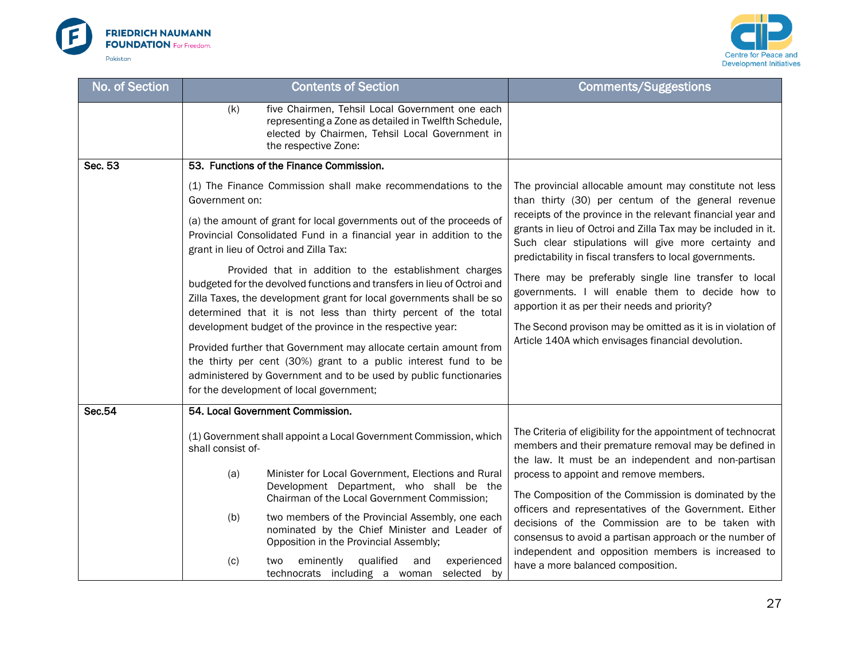



| No. of Section |                   | <b>Contents of Section</b>                                                                                                                                                                                                                                                   | <b>Comments/Suggestions</b>                                                                                                                                                                                                                      |
|----------------|-------------------|------------------------------------------------------------------------------------------------------------------------------------------------------------------------------------------------------------------------------------------------------------------------------|--------------------------------------------------------------------------------------------------------------------------------------------------------------------------------------------------------------------------------------------------|
|                | (k)               | five Chairmen, Tehsil Local Government one each<br>representing a Zone as detailed in Twelfth Schedule,<br>elected by Chairmen, Tehsil Local Government in<br>the respective Zone:                                                                                           |                                                                                                                                                                                                                                                  |
| Sec. 53        |                   | 53. Functions of the Finance Commission.                                                                                                                                                                                                                                     |                                                                                                                                                                                                                                                  |
|                | Government on:    | (1) The Finance Commission shall make recommendations to the                                                                                                                                                                                                                 | The provincial allocable amount may constitute not less<br>than thirty (30) per centum of the general revenue                                                                                                                                    |
|                |                   | (a) the amount of grant for local governments out of the proceeds of<br>Provincial Consolidated Fund in a financial year in addition to the<br>grant in lieu of Octroi and Zilla Tax:                                                                                        | receipts of the province in the relevant financial year and<br>grants in lieu of Octroi and Zilla Tax may be included in it.<br>Such clear stipulations will give more certainty and<br>predictability in fiscal transfers to local governments. |
|                |                   | Provided that in addition to the establishment charges<br>budgeted for the devolved functions and transfers in lieu of Octroi and<br>Zilla Taxes, the development grant for local governments shall be so<br>determined that it is not less than thirty percent of the total | There may be preferably single line transfer to local<br>governments. I will enable them to decide how to<br>apportion it as per their needs and priority?                                                                                       |
|                |                   | development budget of the province in the respective year:                                                                                                                                                                                                                   | The Second provison may be omitted as it is in violation of                                                                                                                                                                                      |
|                |                   | Provided further that Government may allocate certain amount from<br>the thirty per cent (30%) grant to a public interest fund to be                                                                                                                                         | Article 140A which envisages financial devolution.                                                                                                                                                                                               |
|                |                   | administered by Government and to be used by public functionaries                                                                                                                                                                                                            |                                                                                                                                                                                                                                                  |
|                |                   | for the development of local government;                                                                                                                                                                                                                                     |                                                                                                                                                                                                                                                  |
| <b>Sec.54</b>  |                   | 54. Local Government Commission.                                                                                                                                                                                                                                             |                                                                                                                                                                                                                                                  |
|                | shall consist of- | (1) Government shall appoint a Local Government Commission, which                                                                                                                                                                                                            | The Criteria of eligibility for the appointment of technocrat<br>members and their premature removal may be defined in<br>the law. It must be an independent and non-partisan                                                                    |
|                | (a)               | Minister for Local Government, Elections and Rural<br>Development Department, who shall be the<br>Chairman of the Local Government Commission;                                                                                                                               | process to appoint and remove members.<br>The Composition of the Commission is dominated by the                                                                                                                                                  |
|                | (b)               | two members of the Provincial Assembly, one each<br>nominated by the Chief Minister and Leader of<br>Opposition in the Provincial Assembly;                                                                                                                                  | officers and representatives of the Government. Either<br>decisions of the Commission are to be taken with<br>consensus to avoid a partisan approach or the number of<br>independent and opposition members is increased to                      |
|                | (c)               | qualified<br>eminently<br>experienced<br>two<br>and<br>technocrats including a woman<br>selected by                                                                                                                                                                          | have a more balanced composition.                                                                                                                                                                                                                |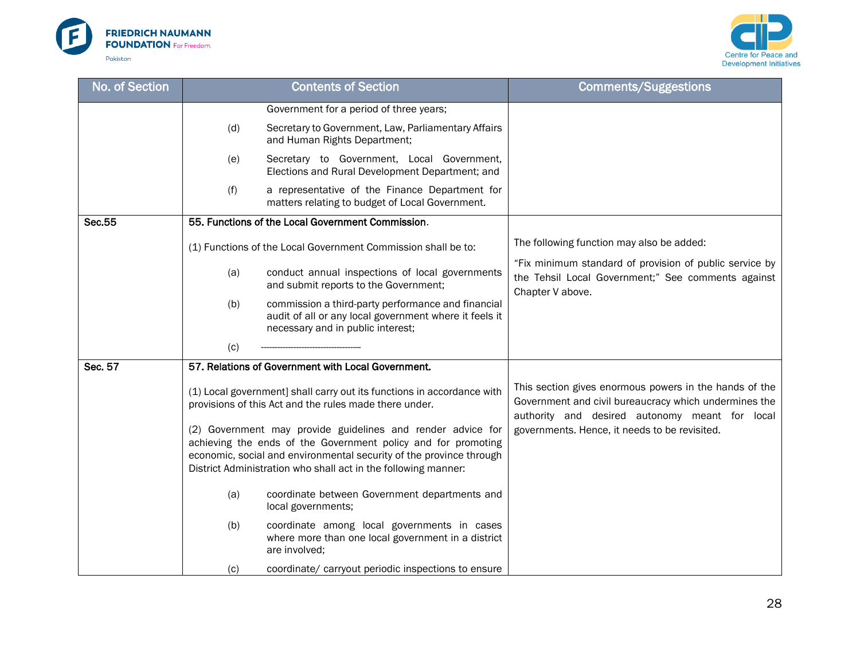



| No. of Section |     | <b>Contents of Section</b>                                                                                                                                                                                                                                            | <b>Comments/Suggestions</b>                                                                                                                                       |
|----------------|-----|-----------------------------------------------------------------------------------------------------------------------------------------------------------------------------------------------------------------------------------------------------------------------|-------------------------------------------------------------------------------------------------------------------------------------------------------------------|
|                |     | Government for a period of three years;                                                                                                                                                                                                                               |                                                                                                                                                                   |
|                | (d) | Secretary to Government, Law, Parliamentary Affairs<br>and Human Rights Department;                                                                                                                                                                                   |                                                                                                                                                                   |
|                | (e) | Secretary to Government, Local Government,<br>Elections and Rural Development Department; and                                                                                                                                                                         |                                                                                                                                                                   |
|                | (f) | a representative of the Finance Department for<br>matters relating to budget of Local Government.                                                                                                                                                                     |                                                                                                                                                                   |
| Sec.55         |     | 55. Functions of the Local Government Commission.                                                                                                                                                                                                                     |                                                                                                                                                                   |
|                |     | (1) Functions of the Local Government Commission shall be to:                                                                                                                                                                                                         | The following function may also be added:                                                                                                                         |
|                | (a) | conduct annual inspections of local governments<br>and submit reports to the Government;                                                                                                                                                                              | "Fix minimum standard of provision of public service by<br>the Tehsil Local Government;" See comments against<br>Chapter V above.                                 |
|                | (b) | commission a third-party performance and financial<br>audit of all or any local government where it feels it<br>necessary and in public interest;                                                                                                                     |                                                                                                                                                                   |
|                | (c) |                                                                                                                                                                                                                                                                       |                                                                                                                                                                   |
| Sec. 57        |     | 57. Relations of Government with Local Government.                                                                                                                                                                                                                    |                                                                                                                                                                   |
|                |     | (1) Local government] shall carry out its functions in accordance with<br>provisions of this Act and the rules made there under.                                                                                                                                      | This section gives enormous powers in the hands of the<br>Government and civil bureaucracy which undermines the<br>authority and desired autonomy meant for local |
|                |     | (2) Government may provide guidelines and render advice for<br>achieving the ends of the Government policy and for promoting<br>economic, social and environmental security of the province through<br>District Administration who shall act in the following manner: | governments. Hence, it needs to be revisited.                                                                                                                     |
|                | (a) | coordinate between Government departments and<br>local governments;                                                                                                                                                                                                   |                                                                                                                                                                   |
|                | (b) | coordinate among local governments in cases<br>where more than one local government in a district<br>are involved;                                                                                                                                                    |                                                                                                                                                                   |
|                | (c) | coordinate/ carryout periodic inspections to ensure                                                                                                                                                                                                                   |                                                                                                                                                                   |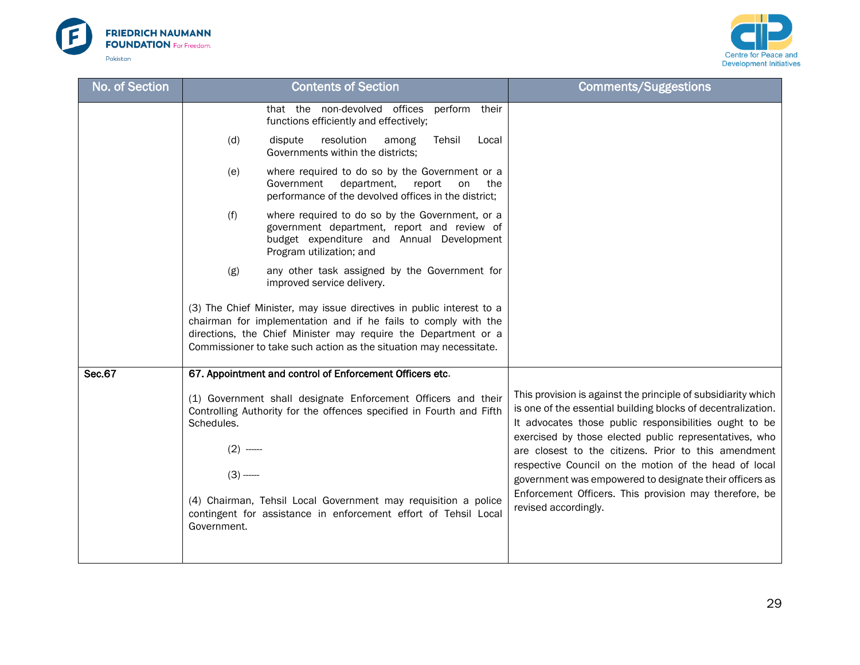



| No. of Section | <b>Contents of Section</b>                                                                                                                          |                                                                                                                                                                                                                                                                                | <b>Comments/Suggestions</b>                                                                                                                                                                                                        |
|----------------|-----------------------------------------------------------------------------------------------------------------------------------------------------|--------------------------------------------------------------------------------------------------------------------------------------------------------------------------------------------------------------------------------------------------------------------------------|------------------------------------------------------------------------------------------------------------------------------------------------------------------------------------------------------------------------------------|
|                |                                                                                                                                                     | that the non-devolved offices<br>perform their<br>functions efficiently and effectively;                                                                                                                                                                                       |                                                                                                                                                                                                                                    |
|                | (d)                                                                                                                                                 | resolution<br>dispute<br>Tehsil<br>among<br>Local<br>Governments within the districts;                                                                                                                                                                                         |                                                                                                                                                                                                                                    |
|                | (e)                                                                                                                                                 | where required to do so by the Government or a<br>Government<br>department,<br>report<br>on<br>the<br>performance of the devolved offices in the district;                                                                                                                     |                                                                                                                                                                                                                                    |
|                | (f)                                                                                                                                                 | where required to do so by the Government, or a<br>government department, report and review of<br>budget expenditure and Annual Development<br>Program utilization; and                                                                                                        |                                                                                                                                                                                                                                    |
|                | (g)                                                                                                                                                 | any other task assigned by the Government for<br>improved service delivery.                                                                                                                                                                                                    |                                                                                                                                                                                                                                    |
|                |                                                                                                                                                     | (3) The Chief Minister, may issue directives in public interest to a<br>chairman for implementation and if he fails to comply with the<br>directions, the Chief Minister may require the Department or a<br>Commissioner to take such action as the situation may necessitate. |                                                                                                                                                                                                                                    |
| <b>Sec.67</b>  |                                                                                                                                                     | 67. Appointment and control of Enforcement Officers etc.                                                                                                                                                                                                                       |                                                                                                                                                                                                                                    |
|                | (1) Government shall designate Enforcement Officers and their<br>Controlling Authority for the offences specified in Fourth and Fifth<br>Schedules. |                                                                                                                                                                                                                                                                                | This provision is against the principle of subsidiarity which<br>is one of the essential building blocks of decentralization.<br>It advocates those public responsibilities ought to be                                            |
|                | $(2)$ ------<br>$(3)$ -----                                                                                                                         |                                                                                                                                                                                                                                                                                | exercised by those elected public representatives, who<br>are closest to the citizens. Prior to this amendment<br>respective Council on the motion of the head of local<br>government was empowered to designate their officers as |
|                | Government.                                                                                                                                         | (4) Chairman, Tehsil Local Government may requisition a police<br>contingent for assistance in enforcement effort of Tehsil Local                                                                                                                                              | Enforcement Officers. This provision may therefore, be<br>revised accordingly.                                                                                                                                                     |
|                |                                                                                                                                                     |                                                                                                                                                                                                                                                                                |                                                                                                                                                                                                                                    |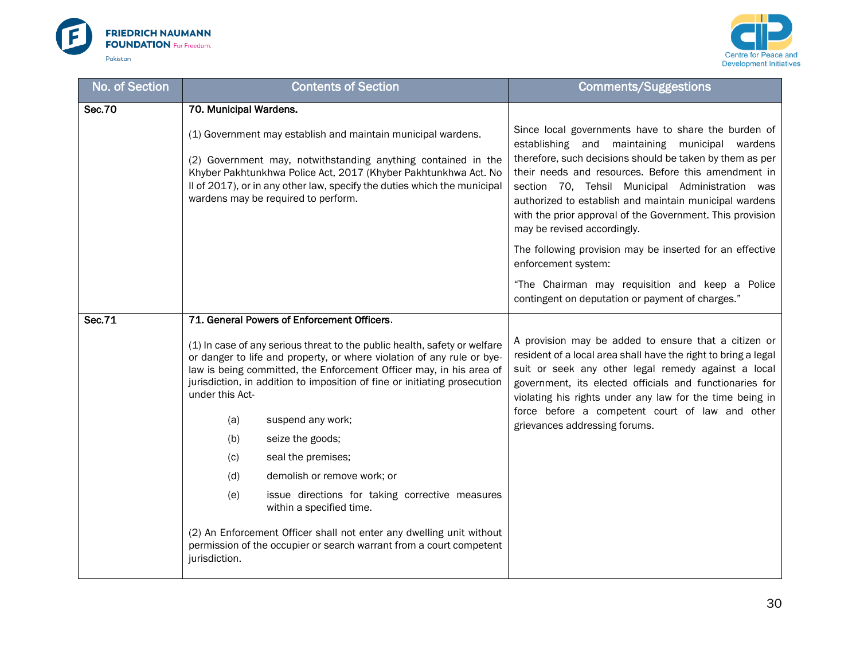



| No. of Section | <b>Contents of Section</b>                                                                                                                                                                                                                                                                                                 | <b>Comments/Suggestions</b>                                                                                                                                                                                                                                                                          |
|----------------|----------------------------------------------------------------------------------------------------------------------------------------------------------------------------------------------------------------------------------------------------------------------------------------------------------------------------|------------------------------------------------------------------------------------------------------------------------------------------------------------------------------------------------------------------------------------------------------------------------------------------------------|
| <b>Sec.70</b>  | 70. Municipal Wardens.                                                                                                                                                                                                                                                                                                     |                                                                                                                                                                                                                                                                                                      |
|                | (1) Government may establish and maintain municipal wardens.<br>(2) Government may, notwithstanding anything contained in the                                                                                                                                                                                              | Since local governments have to share the burden of<br>establishing and maintaining municipal wardens<br>therefore, such decisions should be taken by them as per                                                                                                                                    |
|                | Khyber Pakhtunkhwa Police Act, 2017 (Khyber Pakhtunkhwa Act. No<br>Il of 2017), or in any other law, specify the duties which the municipal<br>wardens may be required to perform.                                                                                                                                         | their needs and resources. Before this amendment in<br>section 70, Tehsil Municipal Administration was<br>authorized to establish and maintain municipal wardens<br>with the prior approval of the Government. This provision<br>may be revised accordingly.                                         |
|                |                                                                                                                                                                                                                                                                                                                            | The following provision may be inserted for an effective<br>enforcement system:                                                                                                                                                                                                                      |
|                |                                                                                                                                                                                                                                                                                                                            | "The Chairman may requisition and keep a Police<br>contingent on deputation or payment of charges."                                                                                                                                                                                                  |
| <b>Sec.71</b>  | 71. General Powers of Enforcement Officers.                                                                                                                                                                                                                                                                                |                                                                                                                                                                                                                                                                                                      |
|                | (1) In case of any serious threat to the public health, safety or welfare<br>or danger to life and property, or where violation of any rule or bye-<br>law is being committed, the Enforcement Officer may, in his area of<br>jurisdiction, in addition to imposition of fine or initiating prosecution<br>under this Act- | A provision may be added to ensure that a citizen or<br>resident of a local area shall have the right to bring a legal<br>suit or seek any other legal remedy against a local<br>government, its elected officials and functionaries for<br>violating his rights under any law for the time being in |
|                | (a)<br>suspend any work;                                                                                                                                                                                                                                                                                                   | force before a competent court of law and other<br>grievances addressing forums.                                                                                                                                                                                                                     |
|                | (b)<br>seize the goods;                                                                                                                                                                                                                                                                                                    |                                                                                                                                                                                                                                                                                                      |
|                | seal the premises;<br>(c)                                                                                                                                                                                                                                                                                                  |                                                                                                                                                                                                                                                                                                      |
|                | (d)<br>demolish or remove work; or                                                                                                                                                                                                                                                                                         |                                                                                                                                                                                                                                                                                                      |
|                | issue directions for taking corrective measures<br>(e)<br>within a specified time.                                                                                                                                                                                                                                         |                                                                                                                                                                                                                                                                                                      |
|                | (2) An Enforcement Officer shall not enter any dwelling unit without<br>permission of the occupier or search warrant from a court competent<br>jurisdiction.                                                                                                                                                               |                                                                                                                                                                                                                                                                                                      |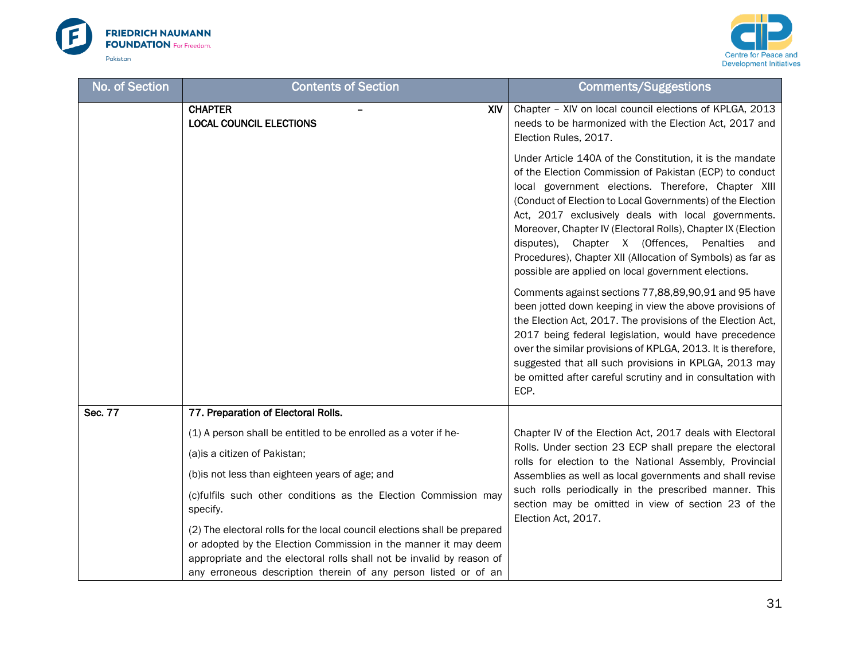



| No. of Section | <b>Contents of Section</b>                                                                                                                                                                                                                                                               | <b>Comments/Suggestions</b>                                                                                                                                                                                                                                                                                                                                                                                                                                                                                                            |
|----------------|------------------------------------------------------------------------------------------------------------------------------------------------------------------------------------------------------------------------------------------------------------------------------------------|----------------------------------------------------------------------------------------------------------------------------------------------------------------------------------------------------------------------------------------------------------------------------------------------------------------------------------------------------------------------------------------------------------------------------------------------------------------------------------------------------------------------------------------|
|                | <b>CHAPTER</b><br>XIV.<br><b>LOCAL COUNCIL ELECTIONS</b>                                                                                                                                                                                                                                 | Chapter - XIV on local council elections of KPLGA, 2013<br>needs to be harmonized with the Election Act, 2017 and<br>Election Rules, 2017.                                                                                                                                                                                                                                                                                                                                                                                             |
|                |                                                                                                                                                                                                                                                                                          | Under Article 140A of the Constitution, it is the mandate<br>of the Election Commission of Pakistan (ECP) to conduct<br>local government elections. Therefore, Chapter XIII<br>(Conduct of Election to Local Governments) of the Election<br>Act, 2017 exclusively deals with local governments.<br>Moreover, Chapter IV (Electoral Rolls), Chapter IX (Election<br>disputes), Chapter X (Offences, Penalties and<br>Procedures), Chapter XII (Allocation of Symbols) as far as<br>possible are applied on local government elections. |
|                |                                                                                                                                                                                                                                                                                          | Comments against sections 77,88,89,90,91 and 95 have<br>been jotted down keeping in view the above provisions of<br>the Election Act, 2017. The provisions of the Election Act,<br>2017 being federal legislation, would have precedence<br>over the similar provisions of KPLGA, 2013. It is therefore,<br>suggested that all such provisions in KPLGA, 2013 may<br>be omitted after careful scrutiny and in consultation with<br>ECP.                                                                                                |
| Sec. 77        | 77. Preparation of Electoral Rolls.                                                                                                                                                                                                                                                      |                                                                                                                                                                                                                                                                                                                                                                                                                                                                                                                                        |
|                | (1) A person shall be entitled to be enrolled as a voter if he-<br>(a) is a citizen of Pakistan;                                                                                                                                                                                         | Chapter IV of the Election Act, 2017 deals with Electoral<br>Rolls. Under section 23 ECP shall prepare the electoral<br>rolls for election to the National Assembly, Provincial                                                                                                                                                                                                                                                                                                                                                        |
|                | (b) is not less than eighteen years of age; and                                                                                                                                                                                                                                          | Assemblies as well as local governments and shall revise                                                                                                                                                                                                                                                                                                                                                                                                                                                                               |
|                | (c)fulfils such other conditions as the Election Commission may<br>specify.                                                                                                                                                                                                              | such rolls periodically in the prescribed manner. This<br>section may be omitted in view of section 23 of the<br>Election Act, 2017.                                                                                                                                                                                                                                                                                                                                                                                                   |
|                | (2) The electoral rolls for the local council elections shall be prepared<br>or adopted by the Election Commission in the manner it may deem<br>appropriate and the electoral rolls shall not be invalid by reason of<br>any erroneous description therein of any person listed or of an |                                                                                                                                                                                                                                                                                                                                                                                                                                                                                                                                        |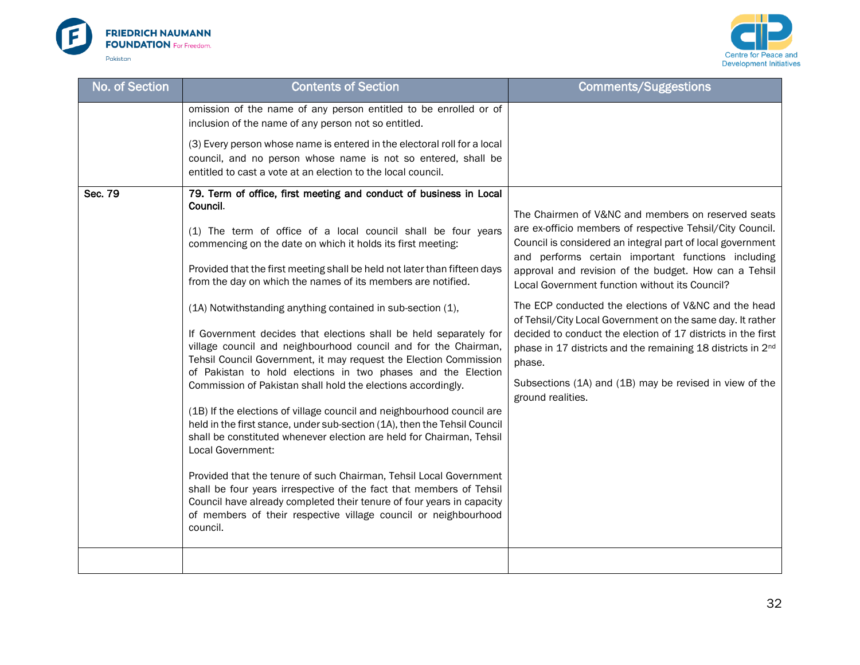



| <b>No. of Section</b> | <b>Contents of Section</b>                                                                                                                                                                                                                                                                                                                                                                                                                                                                                                                                                                                                                                                                                                                                                                                                                                                                                                                                                                                                                                                                                                                                                                                                                                                                                                       | <b>Comments/Suggestions</b>                                                                                                                                                                                                                                                                                                                                                                                                                                                                                                                                                                                                                                                                               |
|-----------------------|----------------------------------------------------------------------------------------------------------------------------------------------------------------------------------------------------------------------------------------------------------------------------------------------------------------------------------------------------------------------------------------------------------------------------------------------------------------------------------------------------------------------------------------------------------------------------------------------------------------------------------------------------------------------------------------------------------------------------------------------------------------------------------------------------------------------------------------------------------------------------------------------------------------------------------------------------------------------------------------------------------------------------------------------------------------------------------------------------------------------------------------------------------------------------------------------------------------------------------------------------------------------------------------------------------------------------------|-----------------------------------------------------------------------------------------------------------------------------------------------------------------------------------------------------------------------------------------------------------------------------------------------------------------------------------------------------------------------------------------------------------------------------------------------------------------------------------------------------------------------------------------------------------------------------------------------------------------------------------------------------------------------------------------------------------|
|                       | omission of the name of any person entitled to be enrolled or of<br>inclusion of the name of any person not so entitled.                                                                                                                                                                                                                                                                                                                                                                                                                                                                                                                                                                                                                                                                                                                                                                                                                                                                                                                                                                                                                                                                                                                                                                                                         |                                                                                                                                                                                                                                                                                                                                                                                                                                                                                                                                                                                                                                                                                                           |
|                       | (3) Every person whose name is entered in the electoral roll for a local<br>council, and no person whose name is not so entered, shall be<br>entitled to cast a vote at an election to the local council.                                                                                                                                                                                                                                                                                                                                                                                                                                                                                                                                                                                                                                                                                                                                                                                                                                                                                                                                                                                                                                                                                                                        |                                                                                                                                                                                                                                                                                                                                                                                                                                                                                                                                                                                                                                                                                                           |
| Sec. 79               | 79. Term of office, first meeting and conduct of business in Local<br>Council.<br>(1) The term of office of a local council shall be four years<br>commencing on the date on which it holds its first meeting:<br>Provided that the first meeting shall be held not later than fifteen days<br>from the day on which the names of its members are notified.<br>(1A) Notwithstanding anything contained in sub-section (1),<br>If Government decides that elections shall be held separately for<br>village council and neighbourhood council and for the Chairman,<br>Tehsil Council Government, it may request the Election Commission<br>of Pakistan to hold elections in two phases and the Election<br>Commission of Pakistan shall hold the elections accordingly.<br>(1B) If the elections of village council and neighbourhood council are<br>held in the first stance, under sub-section (1A), then the Tehsil Council<br>shall be constituted whenever election are held for Chairman, Tehsil<br>Local Government:<br>Provided that the tenure of such Chairman, Tehsil Local Government<br>shall be four years irrespective of the fact that members of Tehsil<br>Council have already completed their tenure of four years in capacity<br>of members of their respective village council or neighbourhood<br>council. | The Chairmen of V&NC and members on reserved seats<br>are ex-officio members of respective Tehsil/City Council.<br>Council is considered an integral part of local government<br>and performs certain important functions including<br>approval and revision of the budget. How can a Tehsil<br>Local Government function without its Council?<br>The ECP conducted the elections of V&NC and the head<br>of Tehsil/City Local Government on the same day. It rather<br>decided to conduct the election of 17 districts in the first<br>phase in 17 districts and the remaining 18 districts in 2 <sup>nd</sup><br>phase.<br>Subsections (1A) and (1B) may be revised in view of the<br>ground realities. |
|                       |                                                                                                                                                                                                                                                                                                                                                                                                                                                                                                                                                                                                                                                                                                                                                                                                                                                                                                                                                                                                                                                                                                                                                                                                                                                                                                                                  |                                                                                                                                                                                                                                                                                                                                                                                                                                                                                                                                                                                                                                                                                                           |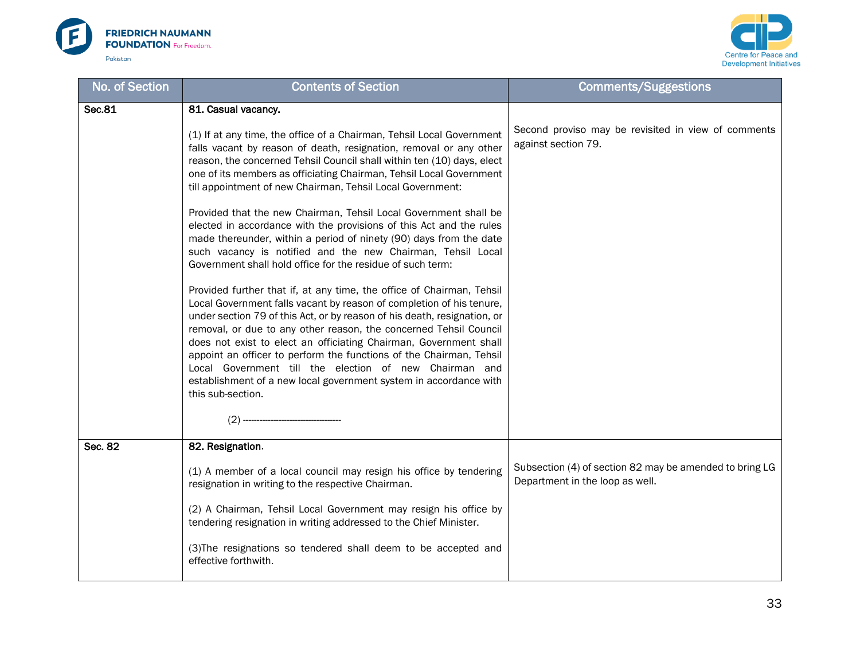



| No. of Section | <b>Contents of Section</b>                                                                                                                                                                                                                                                                                                                                                                                                                                                                                                                                                                     | <b>Comments/Suggestions</b>                                                                |
|----------------|------------------------------------------------------------------------------------------------------------------------------------------------------------------------------------------------------------------------------------------------------------------------------------------------------------------------------------------------------------------------------------------------------------------------------------------------------------------------------------------------------------------------------------------------------------------------------------------------|--------------------------------------------------------------------------------------------|
| <b>Sec.81</b>  | 81. Casual vacancy.                                                                                                                                                                                                                                                                                                                                                                                                                                                                                                                                                                            |                                                                                            |
|                | (1) If at any time, the office of a Chairman, Tehsil Local Government<br>falls vacant by reason of death, resignation, removal or any other<br>reason, the concerned Tehsil Council shall within ten (10) days, elect<br>one of its members as officiating Chairman, Tehsil Local Government<br>till appointment of new Chairman, Tehsil Local Government:                                                                                                                                                                                                                                     | Second proviso may be revisited in view of comments<br>against section 79.                 |
|                | Provided that the new Chairman, Tehsil Local Government shall be<br>elected in accordance with the provisions of this Act and the rules<br>made thereunder, within a period of ninety (90) days from the date<br>such vacancy is notified and the new Chairman, Tehsil Local<br>Government shall hold office for the residue of such term:                                                                                                                                                                                                                                                     |                                                                                            |
|                | Provided further that if, at any time, the office of Chairman, Tehsil<br>Local Government falls vacant by reason of completion of his tenure,<br>under section 79 of this Act, or by reason of his death, resignation, or<br>removal, or due to any other reason, the concerned Tehsil Council<br>does not exist to elect an officiating Chairman, Government shall<br>appoint an officer to perform the functions of the Chairman, Tehsil<br>Local Government till the election of new Chairman and<br>establishment of a new local government system in accordance with<br>this sub-section. |                                                                                            |
|                |                                                                                                                                                                                                                                                                                                                                                                                                                                                                                                                                                                                                |                                                                                            |
| Sec. 82        | 82. Resignation.                                                                                                                                                                                                                                                                                                                                                                                                                                                                                                                                                                               |                                                                                            |
|                | (1) A member of a local council may resign his office by tendering<br>resignation in writing to the respective Chairman.                                                                                                                                                                                                                                                                                                                                                                                                                                                                       | Subsection (4) of section 82 may be amended to bring LG<br>Department in the loop as well. |
|                | (2) A Chairman, Tehsil Local Government may resign his office by<br>tendering resignation in writing addressed to the Chief Minister.                                                                                                                                                                                                                                                                                                                                                                                                                                                          |                                                                                            |
|                | (3) The resignations so tendered shall deem to be accepted and<br>effective forthwith.                                                                                                                                                                                                                                                                                                                                                                                                                                                                                                         |                                                                                            |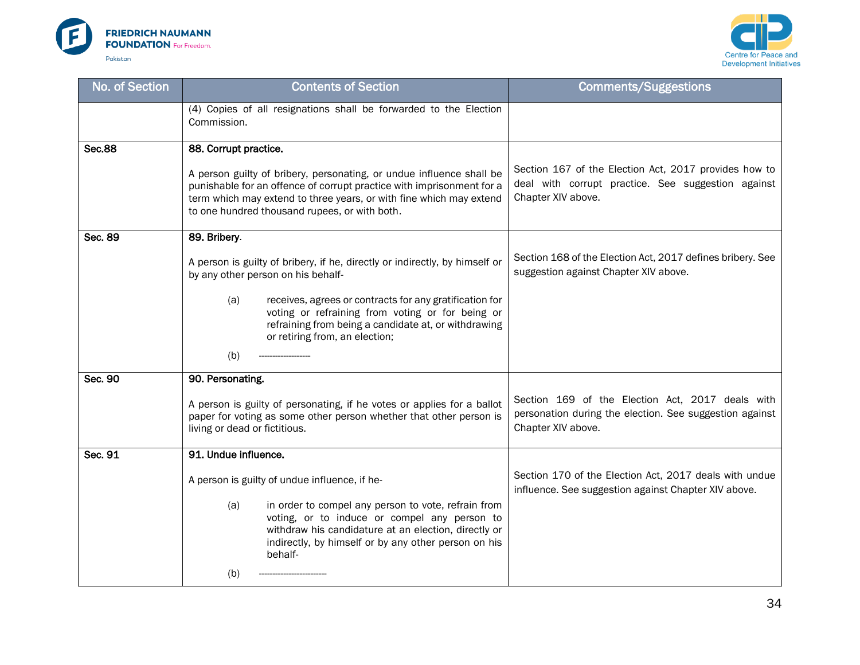



| No. of Section | <b>Contents of Section</b>                                                                                                                                                                                                                                            | <b>Comments/Suggestions</b>                                                                                                       |
|----------------|-----------------------------------------------------------------------------------------------------------------------------------------------------------------------------------------------------------------------------------------------------------------------|-----------------------------------------------------------------------------------------------------------------------------------|
|                | (4) Copies of all resignations shall be forwarded to the Election<br>Commission.                                                                                                                                                                                      |                                                                                                                                   |
| <b>Sec.88</b>  | 88. Corrupt practice.                                                                                                                                                                                                                                                 |                                                                                                                                   |
|                | A person guilty of bribery, personating, or undue influence shall be<br>punishable for an offence of corrupt practice with imprisonment for a<br>term which may extend to three years, or with fine which may extend<br>to one hundred thousand rupees, or with both. | Section 167 of the Election Act, 2017 provides how to<br>deal with corrupt practice. See suggestion against<br>Chapter XIV above. |
| Sec. 89        | 89. Bribery.                                                                                                                                                                                                                                                          |                                                                                                                                   |
|                | A person is guilty of bribery, if he, directly or indirectly, by himself or<br>by any other person on his behalf-                                                                                                                                                     | Section 168 of the Election Act, 2017 defines bribery. See<br>suggestion against Chapter XIV above.                               |
|                | (a)<br>receives, agrees or contracts for any gratification for<br>voting or refraining from voting or for being or<br>refraining from being a candidate at, or withdrawing<br>or retiring from, an election;                                                          |                                                                                                                                   |
|                | (b)                                                                                                                                                                                                                                                                   |                                                                                                                                   |
| Sec. 90        | 90. Personating.                                                                                                                                                                                                                                                      |                                                                                                                                   |
|                | A person is guilty of personating, if he votes or applies for a ballot<br>paper for voting as some other person whether that other person is<br>living or dead or fictitious.                                                                                         | Section 169 of the Election Act, 2017 deals with<br>personation during the election. See suggestion against<br>Chapter XIV above. |
| Sec. 91        | 91. Undue influence.                                                                                                                                                                                                                                                  |                                                                                                                                   |
|                | A person is guilty of undue influence, if he-                                                                                                                                                                                                                         | Section 170 of the Election Act, 2017 deals with undue<br>influence. See suggestion against Chapter XIV above.                    |
|                | in order to compel any person to vote, refrain from<br>(a)<br>voting, or to induce or compel any person to<br>withdraw his candidature at an election, directly or<br>indirectly, by himself or by any other person on his<br>behalf-                                 |                                                                                                                                   |
|                | (b)                                                                                                                                                                                                                                                                   |                                                                                                                                   |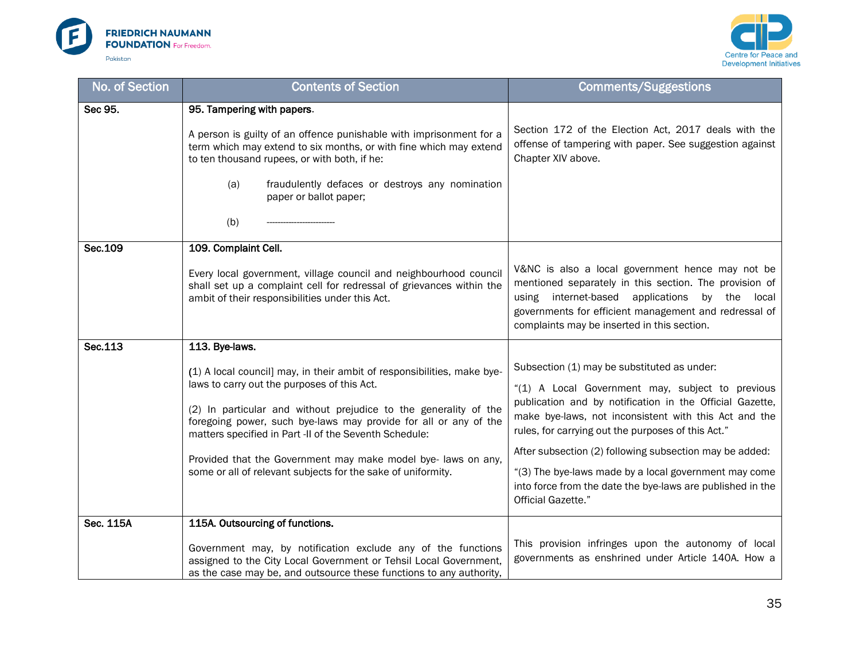



| No. of Section | <b>Contents of Section</b>                                                                                                                                                                                                                                                                                                                                                                                                                                                 | <b>Comments/Suggestions</b>                                                                                                                                                                                                                                                                                                                                                                                                                                                        |
|----------------|----------------------------------------------------------------------------------------------------------------------------------------------------------------------------------------------------------------------------------------------------------------------------------------------------------------------------------------------------------------------------------------------------------------------------------------------------------------------------|------------------------------------------------------------------------------------------------------------------------------------------------------------------------------------------------------------------------------------------------------------------------------------------------------------------------------------------------------------------------------------------------------------------------------------------------------------------------------------|
| Sec 95.        | 95. Tampering with papers.<br>A person is guilty of an offence punishable with imprisonment for a<br>term which may extend to six months, or with fine which may extend<br>to ten thousand rupees, or with both, if he:<br>(a)<br>fraudulently defaces or destroys any nomination<br>paper or ballot paper;<br>(b)                                                                                                                                                         | Section 172 of the Election Act, 2017 deals with the<br>offense of tampering with paper. See suggestion against<br>Chapter XIV above.                                                                                                                                                                                                                                                                                                                                              |
| Sec.109        | 109. Complaint Cell.<br>Every local government, village council and neighbourhood council<br>shall set up a complaint cell for redressal of grievances within the<br>ambit of their responsibilities under this Act.                                                                                                                                                                                                                                                       | V&NC is also a local government hence may not be<br>mentioned separately in this section. The provision of<br>using internet-based applications<br>by the local<br>governments for efficient management and redressal of<br>complaints may be inserted in this section.                                                                                                                                                                                                            |
| Sec.113        | 113. Bye-laws.<br>(1) A local council] may, in their ambit of responsibilities, make bye-<br>laws to carry out the purposes of this Act.<br>(2) In particular and without prejudice to the generality of the<br>foregoing power, such bye-laws may provide for all or any of the<br>matters specified in Part -II of the Seventh Schedule:<br>Provided that the Government may make model bye-laws on any,<br>some or all of relevant subjects for the sake of uniformity. | Subsection (1) may be substituted as under:<br>"(1) A Local Government may, subject to previous<br>publication and by notification in the Official Gazette,<br>make bye-laws, not inconsistent with this Act and the<br>rules, for carrying out the purposes of this Act."<br>After subsection (2) following subsection may be added:<br>"(3) The bye-laws made by a local government may come<br>into force from the date the bye-laws are published in the<br>Official Gazette." |
| Sec. 115A      | 115A. Outsourcing of functions.<br>Government may, by notification exclude any of the functions<br>assigned to the City Local Government or Tehsil Local Government,<br>as the case may be, and outsource these functions to any authority,                                                                                                                                                                                                                                | This provision infringes upon the autonomy of local<br>governments as enshrined under Article 140A. How a                                                                                                                                                                                                                                                                                                                                                                          |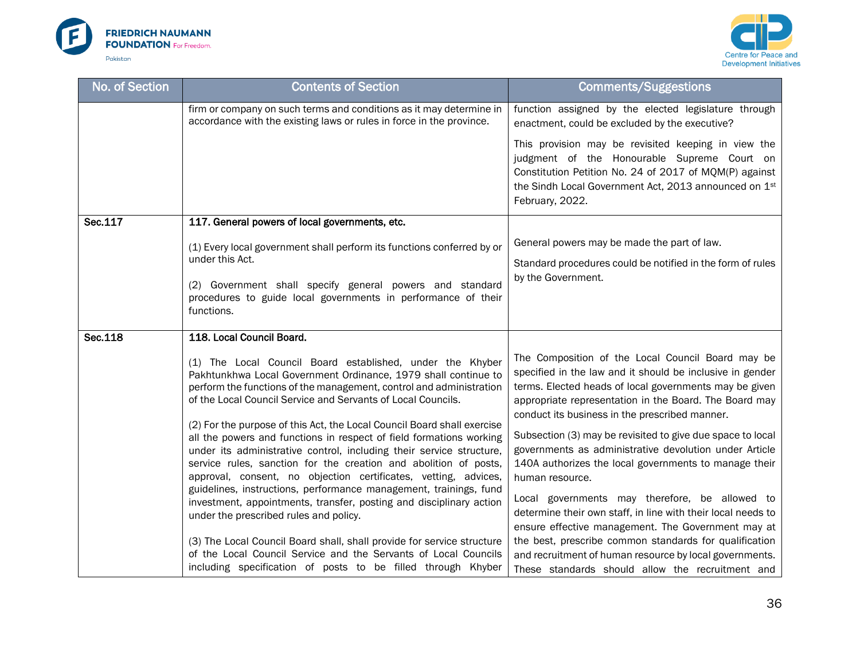



| No. of Section | <b>Contents of Section</b>                                                                                                                                                                                                                                                                                                                                                                                                                                                                                                                          | <b>Comments/Suggestions</b>                                                                                                                                                                                                                                                          |
|----------------|-----------------------------------------------------------------------------------------------------------------------------------------------------------------------------------------------------------------------------------------------------------------------------------------------------------------------------------------------------------------------------------------------------------------------------------------------------------------------------------------------------------------------------------------------------|--------------------------------------------------------------------------------------------------------------------------------------------------------------------------------------------------------------------------------------------------------------------------------------|
|                | firm or company on such terms and conditions as it may determine in<br>accordance with the existing laws or rules in force in the province.                                                                                                                                                                                                                                                                                                                                                                                                         | function assigned by the elected legislature through<br>enactment, could be excluded by the executive?                                                                                                                                                                               |
|                |                                                                                                                                                                                                                                                                                                                                                                                                                                                                                                                                                     | This provision may be revisited keeping in view the<br>judgment of the Honourable Supreme Court on<br>Constitution Petition No. 24 of 2017 of MQM(P) against<br>the Sindh Local Government Act, 2013 announced on 1st<br>February, 2022.                                             |
| Sec.117        | 117. General powers of local governments, etc.                                                                                                                                                                                                                                                                                                                                                                                                                                                                                                      |                                                                                                                                                                                                                                                                                      |
|                | (1) Every local government shall perform its functions conferred by or<br>under this Act.                                                                                                                                                                                                                                                                                                                                                                                                                                                           | General powers may be made the part of law.                                                                                                                                                                                                                                          |
|                |                                                                                                                                                                                                                                                                                                                                                                                                                                                                                                                                                     | Standard procedures could be notified in the form of rules                                                                                                                                                                                                                           |
|                | (2) Government shall specify general powers and standard<br>procedures to guide local governments in performance of their<br>functions.                                                                                                                                                                                                                                                                                                                                                                                                             | by the Government.                                                                                                                                                                                                                                                                   |
| Sec.118        | 118. Local Council Board.                                                                                                                                                                                                                                                                                                                                                                                                                                                                                                                           |                                                                                                                                                                                                                                                                                      |
|                | (1) The Local Council Board established, under the Khyber<br>Pakhtunkhwa Local Government Ordinance, 1979 shall continue to<br>perform the functions of the management, control and administration<br>of the Local Council Service and Servants of Local Councils.                                                                                                                                                                                                                                                                                  | The Composition of the Local Council Board may be<br>specified in the law and it should be inclusive in gender<br>terms. Elected heads of local governments may be given<br>appropriate representation in the Board. The Board may<br>conduct its business in the prescribed manner. |
|                | (2) For the purpose of this Act, the Local Council Board shall exercise<br>all the powers and functions in respect of field formations working<br>under its administrative control, including their service structure,<br>service rules, sanction for the creation and abolition of posts,<br>approval, consent, no objection certificates, vetting, advices,<br>guidelines, instructions, performance management, trainings, fund<br>investment, appointments, transfer, posting and disciplinary action<br>under the prescribed rules and policy. | Subsection (3) may be revisited to give due space to local<br>governments as administrative devolution under Article<br>140A authorizes the local governments to manage their<br>human resource.<br>Local governments may therefore, be allowed to                                   |
|                |                                                                                                                                                                                                                                                                                                                                                                                                                                                                                                                                                     | determine their own staff, in line with their local needs to                                                                                                                                                                                                                         |
|                | (3) The Local Council Board shall, shall provide for service structure<br>of the Local Council Service and the Servants of Local Councils<br>including specification of posts to be filled through Khyber                                                                                                                                                                                                                                                                                                                                           | ensure effective management. The Government may at<br>the best, prescribe common standards for qualification<br>and recruitment of human resource by local governments.<br>These standards should allow the recruitment and                                                          |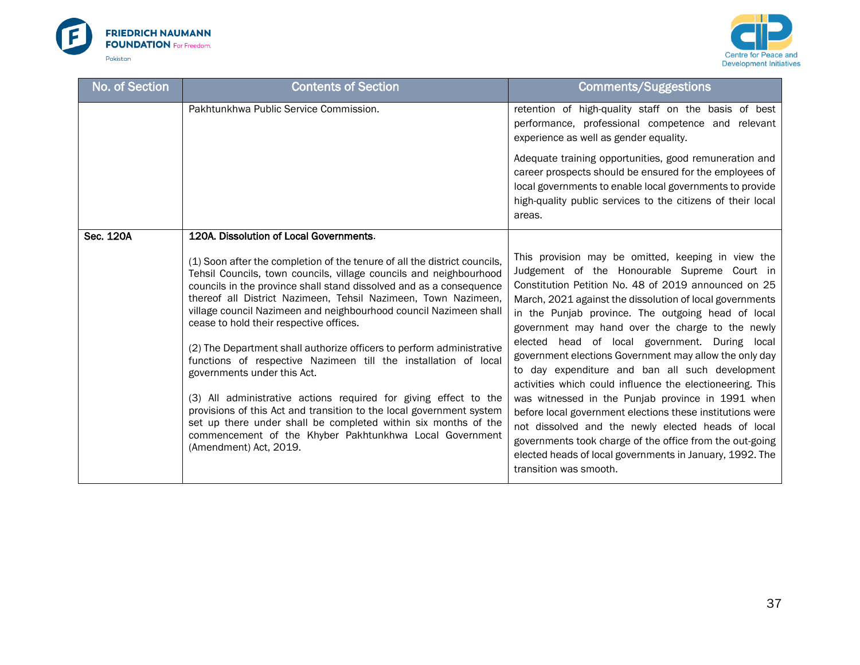



| No. of Section | <b>Contents of Section</b>                                                                                                                                                                                                                                                                                                  | <b>Comments/Suggestions</b>                                                                                                                                                                                                                                                                                                                                                                                   |
|----------------|-----------------------------------------------------------------------------------------------------------------------------------------------------------------------------------------------------------------------------------------------------------------------------------------------------------------------------|---------------------------------------------------------------------------------------------------------------------------------------------------------------------------------------------------------------------------------------------------------------------------------------------------------------------------------------------------------------------------------------------------------------|
|                | Pakhtunkhwa Public Service Commission.                                                                                                                                                                                                                                                                                      | retention of high-quality staff on the basis of best<br>performance, professional competence and relevant<br>experience as well as gender equality.<br>Adequate training opportunities, good remuneration and<br>career prospects should be ensured for the employees of<br>local governments to enable local governments to provide<br>high-quality public services to the citizens of their local<br>areas. |
| Sec. 120A      | 120A. Dissolution of Local Governments.<br>(1) Soon after the completion of the tenure of all the district councils,                                                                                                                                                                                                        | This provision may be omitted, keeping in view the                                                                                                                                                                                                                                                                                                                                                            |
|                | Tehsil Councils, town councils, village councils and neighbourhood<br>councils in the province shall stand dissolved and as a consequence<br>thereof all District Nazimeen, Tehsil Nazimeen, Town Nazimeen,<br>village council Nazimeen and neighbourhood council Nazimeen shall<br>cease to hold their respective offices. | Judgement of the Honourable Supreme Court in<br>Constitution Petition No. 48 of 2019 announced on 25<br>March, 2021 against the dissolution of local governments<br>in the Punjab province. The outgoing head of local<br>government may hand over the charge to the newly                                                                                                                                    |
|                | (2) The Department shall authorize officers to perform administrative<br>functions of respective Nazimeen till the installation of local<br>governments under this Act.                                                                                                                                                     | elected head of local government. During local<br>government elections Government may allow the only day<br>to day expenditure and ban all such development<br>activities which could influence the electioneering. This                                                                                                                                                                                      |
|                | (3) All administrative actions required for giving effect to the<br>provisions of this Act and transition to the local government system<br>set up there under shall be completed within six months of the<br>commencement of the Khyber Pakhtunkhwa Local Government<br>(Amendment) Act, 2019.                             | was witnessed in the Punjab province in 1991 when<br>before local government elections these institutions were<br>not dissolved and the newly elected heads of local<br>governments took charge of the office from the out-going<br>elected heads of local governments in January, 1992. The<br>transition was smooth.                                                                                        |